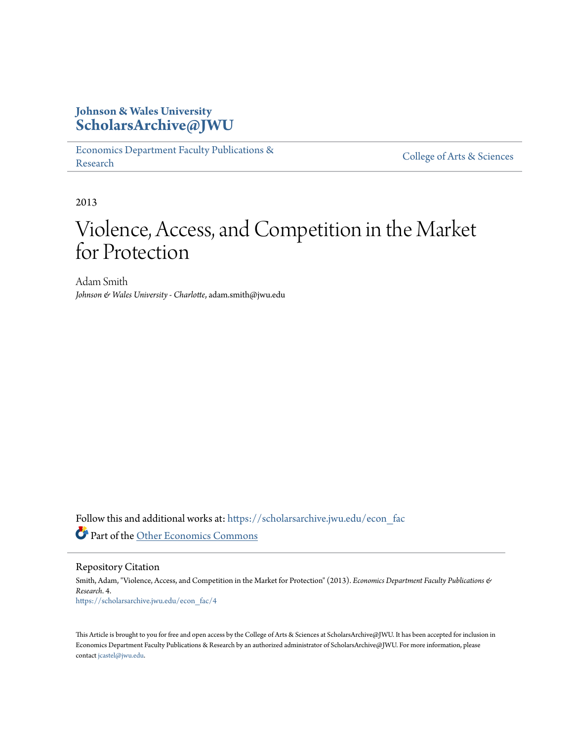# **Johnson & Wales University [ScholarsArchive@JWU](https://scholarsarchive.jwu.edu?utm_source=scholarsarchive.jwu.edu%2Fecon_fac%2F4&utm_medium=PDF&utm_campaign=PDFCoverPages)**

[Economics Department Faculty Publications &](https://scholarsarchive.jwu.edu/econ_fac?utm_source=scholarsarchive.jwu.edu%2Fecon_fac%2F4&utm_medium=PDF&utm_campaign=PDFCoverPages) [Research](https://scholarsarchive.jwu.edu/econ_fac?utm_source=scholarsarchive.jwu.edu%2Fecon_fac%2F4&utm_medium=PDF&utm_campaign=PDFCoverPages) [College of Arts & Sciences](https://scholarsarchive.jwu.edu/arts_sciences?utm_source=scholarsarchive.jwu.edu%2Fecon_fac%2F4&utm_medium=PDF&utm_campaign=PDFCoverPages)

2013

# Violence, Access, and Competition in the Market for Protection

Adam Smith *Johnson & Wales University - Charlotte*, adam.smith@jwu.edu

Follow this and additional works at: [https://scholarsarchive.jwu.edu/econ\\_fac](https://scholarsarchive.jwu.edu/econ_fac?utm_source=scholarsarchive.jwu.edu%2Fecon_fac%2F4&utm_medium=PDF&utm_campaign=PDFCoverPages) Part of the [Other Economics Commons](http://network.bepress.com/hgg/discipline/353?utm_source=scholarsarchive.jwu.edu%2Fecon_fac%2F4&utm_medium=PDF&utm_campaign=PDFCoverPages)

Repository Citation Smith, Adam, "Violence, Access, and Competition in the Market for Protection" (2013). *Economics Department Faculty Publications & Research*. 4. [https://scholarsarchive.jwu.edu/econ\\_fac/4](https://scholarsarchive.jwu.edu/econ_fac/4?utm_source=scholarsarchive.jwu.edu%2Fecon_fac%2F4&utm_medium=PDF&utm_campaign=PDFCoverPages)

This Article is brought to you for free and open access by the College of Arts & Sciences at ScholarsArchive@JWU. It has been accepted for inclusion in Economics Department Faculty Publications & Research by an authorized administrator of ScholarsArchive@JWU. For more information, please contact [jcastel@jwu.edu.](mailto:jcastel@jwu.edu)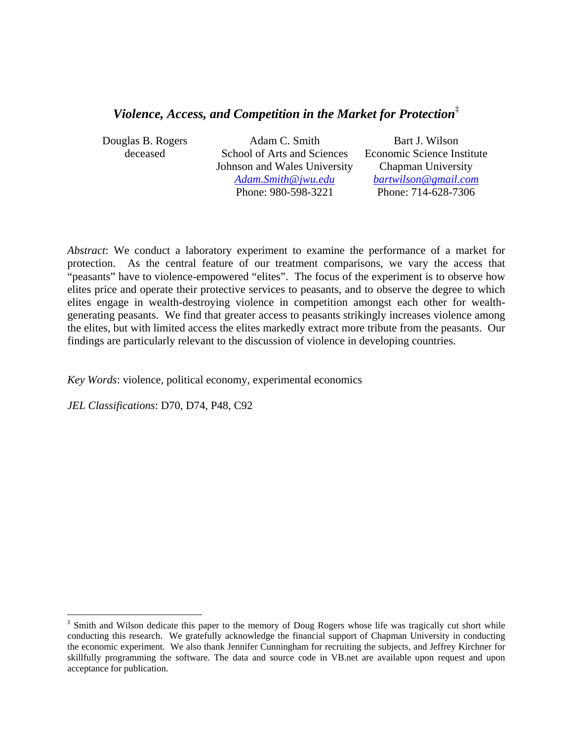# *Violence, Access, and Competition in the Market for Protection*‡

Douglas B. Rogers deceased

Adam C. Smith School of Arts and Sciences Johnson and Wales University *Adam.Smith@jwu.edu* Phone: 980-598-3221

Bart J. Wilson Economic Science Institute Chapman University *bartwilson@gmail.com* Phone: 714-628-7306

*Abstract*: We conduct a laboratory experiment to examine the performance of a market for protection. As the central feature of our treatment comparisons, we vary the access that "peasants" have to violence-empowered "elites". The focus of the experiment is to observe how elites price and operate their protective services to peasants, and to observe the degree to which elites engage in wealth-destroying violence in competition amongst each other for wealthgenerating peasants. We find that greater access to peasants strikingly increases violence among the elites, but with limited access the elites markedly extract more tribute from the peasants. Our findings are particularly relevant to the discussion of violence in developing countries.

*Key Words*: violence, political economy, experimental economics

*JEL Classifications*: D70, D74, P48, C92

 $\overline{a}$ 

<sup>‡</sup> Smith and Wilson dedicate this paper to the memory of Doug Rogers whose life was tragically cut short while conducting this research. We gratefully acknowledge the financial support of Chapman University in conducting the economic experiment. We also thank Jennifer Cunningham for recruiting the subjects, and Jeffrey Kirchner for skillfully programming the software. The data and source code in VB.net are available upon request and upon acceptance for publication.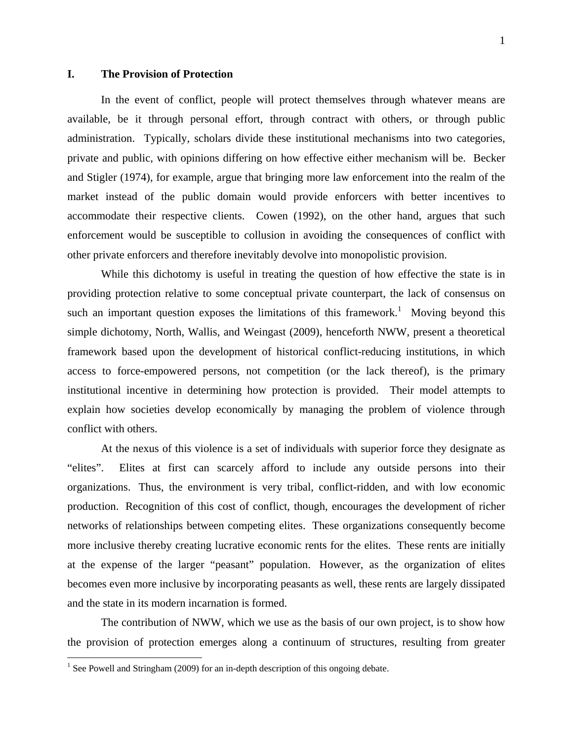#### **I. The Provision of Protection**

 In the event of conflict, people will protect themselves through whatever means are available, be it through personal effort, through contract with others, or through public administration. Typically, scholars divide these institutional mechanisms into two categories, private and public, with opinions differing on how effective either mechanism will be. Becker and Stigler (1974), for example, argue that bringing more law enforcement into the realm of the market instead of the public domain would provide enforcers with better incentives to accommodate their respective clients. Cowen (1992), on the other hand, argues that such enforcement would be susceptible to collusion in avoiding the consequences of conflict with other private enforcers and therefore inevitably devolve into monopolistic provision.

 While this dichotomy is useful in treating the question of how effective the state is in providing protection relative to some conceptual private counterpart, the lack of consensus on such an important question exposes the limitations of this framework.<sup>1</sup> Moving beyond this simple dichotomy, North, Wallis, and Weingast (2009), henceforth NWW, present a theoretical framework based upon the development of historical conflict-reducing institutions, in which access to force-empowered persons, not competition (or the lack thereof), is the primary institutional incentive in determining how protection is provided. Their model attempts to explain how societies develop economically by managing the problem of violence through conflict with others.

 At the nexus of this violence is a set of individuals with superior force they designate as "elites". Elites at first can scarcely afford to include any outside persons into their organizations. Thus, the environment is very tribal, conflict-ridden, and with low economic production. Recognition of this cost of conflict, though, encourages the development of richer networks of relationships between competing elites. These organizations consequently become more inclusive thereby creating lucrative economic rents for the elites. These rents are initially at the expense of the larger "peasant" population. However, as the organization of elites becomes even more inclusive by incorporating peasants as well, these rents are largely dissipated and the state in its modern incarnation is formed.

The contribution of NWW, which we use as the basis of our own project, is to show how the provision of protection emerges along a continuum of structures, resulting from greater

<sup>&</sup>lt;sup>1</sup> See Powell and Stringham (2009) for an in-depth description of this ongoing debate.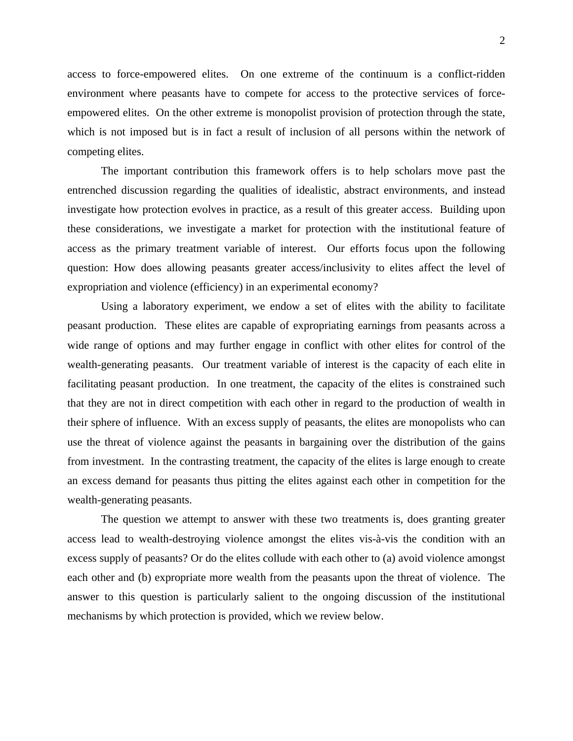access to force-empowered elites. On one extreme of the continuum is a conflict-ridden environment where peasants have to compete for access to the protective services of forceempowered elites. On the other extreme is monopolist provision of protection through the state, which is not imposed but is in fact a result of inclusion of all persons within the network of competing elites.

The important contribution this framework offers is to help scholars move past the entrenched discussion regarding the qualities of idealistic, abstract environments, and instead investigate how protection evolves in practice, as a result of this greater access. Building upon these considerations, we investigate a market for protection with the institutional feature of access as the primary treatment variable of interest. Our efforts focus upon the following question: How does allowing peasants greater access/inclusivity to elites affect the level of expropriation and violence (efficiency) in an experimental economy?

Using a laboratory experiment, we endow a set of elites with the ability to facilitate peasant production. These elites are capable of expropriating earnings from peasants across a wide range of options and may further engage in conflict with other elites for control of the wealth-generating peasants. Our treatment variable of interest is the capacity of each elite in facilitating peasant production. In one treatment, the capacity of the elites is constrained such that they are not in direct competition with each other in regard to the production of wealth in their sphere of influence. With an excess supply of peasants, the elites are monopolists who can use the threat of violence against the peasants in bargaining over the distribution of the gains from investment. In the contrasting treatment, the capacity of the elites is large enough to create an excess demand for peasants thus pitting the elites against each other in competition for the wealth-generating peasants.

The question we attempt to answer with these two treatments is, does granting greater access lead to wealth-destroying violence amongst the elites vis-à-vis the condition with an excess supply of peasants? Or do the elites collude with each other to (a) avoid violence amongst each other and (b) expropriate more wealth from the peasants upon the threat of violence. The answer to this question is particularly salient to the ongoing discussion of the institutional mechanisms by which protection is provided, which we review below.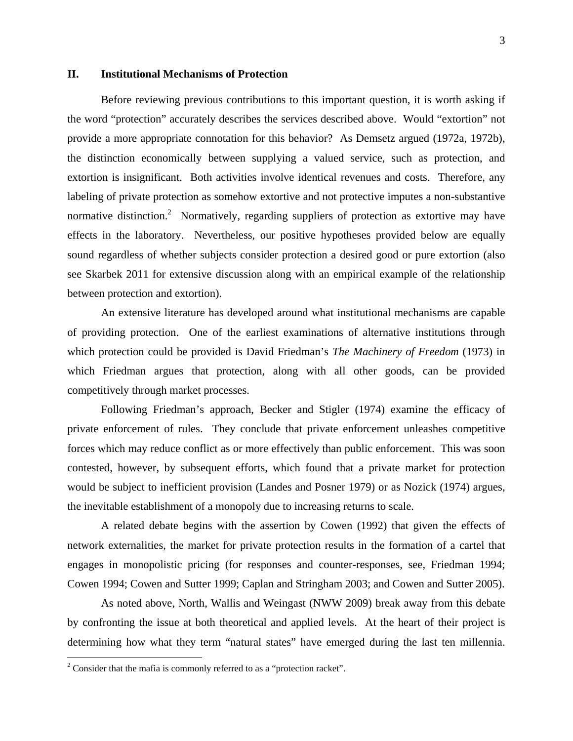# **II. Institutional Mechanisms of Protection**

Before reviewing previous contributions to this important question, it is worth asking if the word "protection" accurately describes the services described above. Would "extortion" not provide a more appropriate connotation for this behavior? As Demsetz argued (1972a, 1972b), the distinction economically between supplying a valued service, such as protection, and extortion is insignificant. Both activities involve identical revenues and costs. Therefore, any labeling of private protection as somehow extortive and not protective imputes a non-substantive normative distinction.<sup>2</sup> Normatively, regarding suppliers of protection as extortive may have effects in the laboratory. Nevertheless, our positive hypotheses provided below are equally sound regardless of whether subjects consider protection a desired good or pure extortion (also see Skarbek 2011 for extensive discussion along with an empirical example of the relationship between protection and extortion).

An extensive literature has developed around what institutional mechanisms are capable of providing protection. One of the earliest examinations of alternative institutions through which protection could be provided is David Friedman's *The Machinery of Freedom* (1973) in which Friedman argues that protection, along with all other goods, can be provided competitively through market processes.

Following Friedman's approach, Becker and Stigler (1974) examine the efficacy of private enforcement of rules. They conclude that private enforcement unleashes competitive forces which may reduce conflict as or more effectively than public enforcement. This was soon contested, however, by subsequent efforts, which found that a private market for protection would be subject to inefficient provision (Landes and Posner 1979) or as Nozick (1974) argues, the inevitable establishment of a monopoly due to increasing returns to scale.

A related debate begins with the assertion by Cowen (1992) that given the effects of network externalities, the market for private protection results in the formation of a cartel that engages in monopolistic pricing (for responses and counter-responses, see, Friedman 1994; Cowen 1994; Cowen and Sutter 1999; Caplan and Stringham 2003; and Cowen and Sutter 2005).

 As noted above, North, Wallis and Weingast (NWW 2009) break away from this debate by confronting the issue at both theoretical and applied levels. At the heart of their project is determining how what they term "natural states" have emerged during the last ten millennia.

<u>.</u>

 $2^2$  Consider that the mafia is commonly referred to as a "protection racket".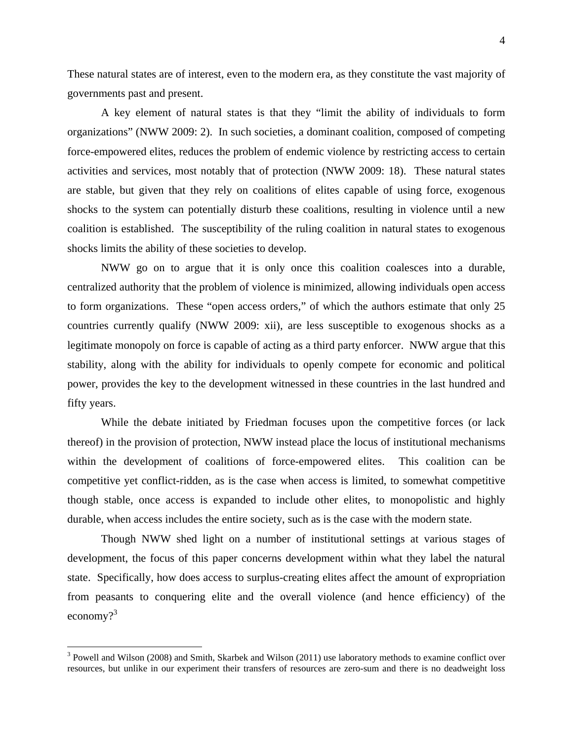These natural states are of interest, even to the modern era, as they constitute the vast majority of governments past and present.

A key element of natural states is that they "limit the ability of individuals to form organizations" (NWW 2009: 2). In such societies, a dominant coalition, composed of competing force-empowered elites, reduces the problem of endemic violence by restricting access to certain activities and services, most notably that of protection (NWW 2009: 18). These natural states are stable, but given that they rely on coalitions of elites capable of using force, exogenous shocks to the system can potentially disturb these coalitions, resulting in violence until a new coalition is established. The susceptibility of the ruling coalition in natural states to exogenous shocks limits the ability of these societies to develop.

NWW go on to argue that it is only once this coalition coalesces into a durable, centralized authority that the problem of violence is minimized, allowing individuals open access to form organizations. These "open access orders," of which the authors estimate that only 25 countries currently qualify (NWW 2009: xii), are less susceptible to exogenous shocks as a legitimate monopoly on force is capable of acting as a third party enforcer. NWW argue that this stability, along with the ability for individuals to openly compete for economic and political power, provides the key to the development witnessed in these countries in the last hundred and fifty years.

While the debate initiated by Friedman focuses upon the competitive forces (or lack thereof) in the provision of protection, NWW instead place the locus of institutional mechanisms within the development of coalitions of force-empowered elites. This coalition can be competitive yet conflict-ridden, as is the case when access is limited, to somewhat competitive though stable, once access is expanded to include other elites, to monopolistic and highly durable, when access includes the entire society, such as is the case with the modern state.

Though NWW shed light on a number of institutional settings at various stages of development, the focus of this paper concerns development within what they label the natural state. Specifically, how does access to surplus-creating elites affect the amount of expropriation from peasants to conquering elite and the overall violence (and hence efficiency) of the economy?<sup>3</sup>

 $\overline{a}$ 

 $3$  Powell and Wilson (2008) and Smith, Skarbek and Wilson (2011) use laboratory methods to examine conflict over resources, but unlike in our experiment their transfers of resources are zero-sum and there is no deadweight loss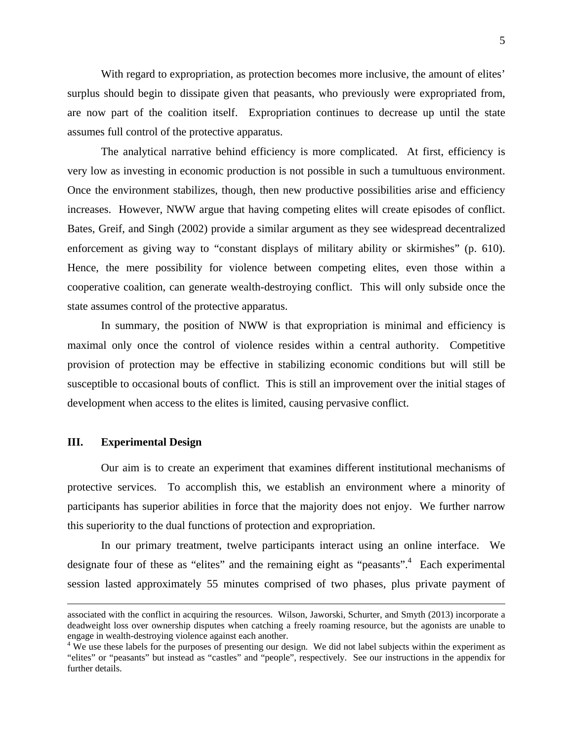With regard to expropriation, as protection becomes more inclusive, the amount of elites' surplus should begin to dissipate given that peasants, who previously were expropriated from, are now part of the coalition itself. Expropriation continues to decrease up until the state assumes full control of the protective apparatus.

The analytical narrative behind efficiency is more complicated. At first, efficiency is very low as investing in economic production is not possible in such a tumultuous environment. Once the environment stabilizes, though, then new productive possibilities arise and efficiency increases. However, NWW argue that having competing elites will create episodes of conflict. Bates, Greif, and Singh (2002) provide a similar argument as they see widespread decentralized enforcement as giving way to "constant displays of military ability or skirmishes" (p. 610). Hence, the mere possibility for violence between competing elites, even those within a cooperative coalition, can generate wealth-destroying conflict. This will only subside once the state assumes control of the protective apparatus.

In summary, the position of NWW is that expropriation is minimal and efficiency is maximal only once the control of violence resides within a central authority. Competitive provision of protection may be effective in stabilizing economic conditions but will still be susceptible to occasional bouts of conflict. This is still an improvement over the initial stages of development when access to the elites is limited, causing pervasive conflict.

#### **III. Experimental Design**

Our aim is to create an experiment that examines different institutional mechanisms of protective services. To accomplish this, we establish an environment where a minority of participants has superior abilities in force that the majority does not enjoy. We further narrow this superiority to the dual functions of protection and expropriation.

In our primary treatment, twelve participants interact using an online interface. We designate four of these as "elites" and the remaining eight as "peasants".<sup>4</sup> Each experimental session lasted approximately 55 minutes comprised of two phases, plus private payment of

associated with the conflict in acquiring the resources. Wilson, Jaworski, Schurter, and Smyth (2013) incorporate a deadweight loss over ownership disputes when catching a freely roaming resource, but the agonists are unable to engage in wealth-destroying violence against each another.

<sup>&</sup>lt;sup>4</sup> We use these labels for the purposes of presenting our design. We did not label subjects within the experiment as "elites" or "peasants" but instead as "castles" and "people", respectively. See our instructions in the appendix for further details.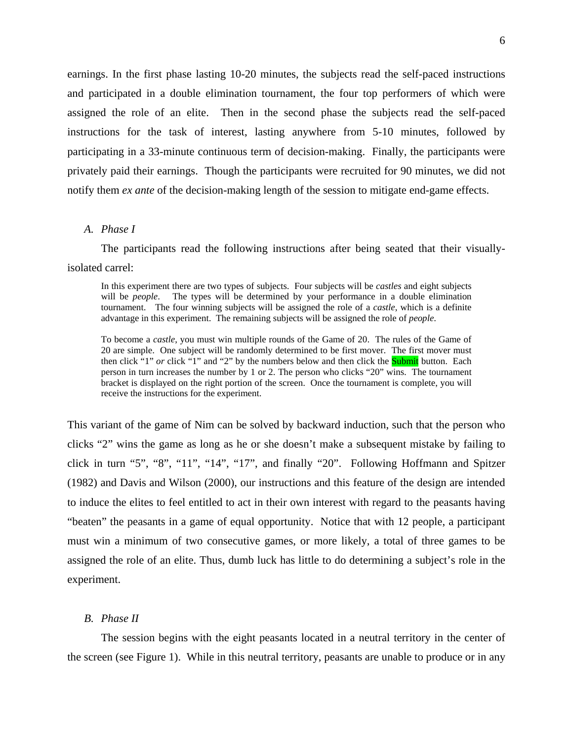earnings. In the first phase lasting 10-20 minutes, the subjects read the self-paced instructions and participated in a double elimination tournament, the four top performers of which were assigned the role of an elite. Then in the second phase the subjects read the self-paced instructions for the task of interest, lasting anywhere from 5-10 minutes, followed by participating in a 33-minute continuous term of decision-making. Finally, the participants were privately paid their earnings. Though the participants were recruited for 90 minutes, we did not notify them *ex ante* of the decision-making length of the session to mitigate end-game effects.

#### *A. Phase I*

The participants read the following instructions after being seated that their visuallyisolated carrel:

In this experiment there are two types of subjects. Four subjects will be *castles* and eight subjects will be *people*. The types will be determined by your performance in a double elimination tournament. The four winning subjects will be assigned the role of a *castle*, which is a definite advantage in this experiment. The remaining subjects will be assigned the role of *people*.

To become a *castle*, you must win multiple rounds of the Game of 20. The rules of the Game of 20 are simple. One subject will be randomly determined to be first mover. The first mover must then click "1" *or* click "1" and "2" by the numbers below and then click the **Submit** button. Each person in turn increases the number by 1 or 2. The person who clicks "20" wins. The tournament bracket is displayed on the right portion of the screen. Once the tournament is complete, you will receive the instructions for the experiment.

This variant of the game of Nim can be solved by backward induction, such that the person who clicks "2" wins the game as long as he or she doesn't make a subsequent mistake by failing to click in turn "5", "8", "11", "14", "17", and finally "20". Following Hoffmann and Spitzer (1982) and Davis and Wilson (2000), our instructions and this feature of the design are intended to induce the elites to feel entitled to act in their own interest with regard to the peasants having "beaten" the peasants in a game of equal opportunity. Notice that with 12 people, a participant must win a minimum of two consecutive games, or more likely, a total of three games to be assigned the role of an elite. Thus, dumb luck has little to do determining a subject's role in the experiment.

# *B. Phase II*

The session begins with the eight peasants located in a neutral territory in the center of the screen (see Figure 1). While in this neutral territory, peasants are unable to produce or in any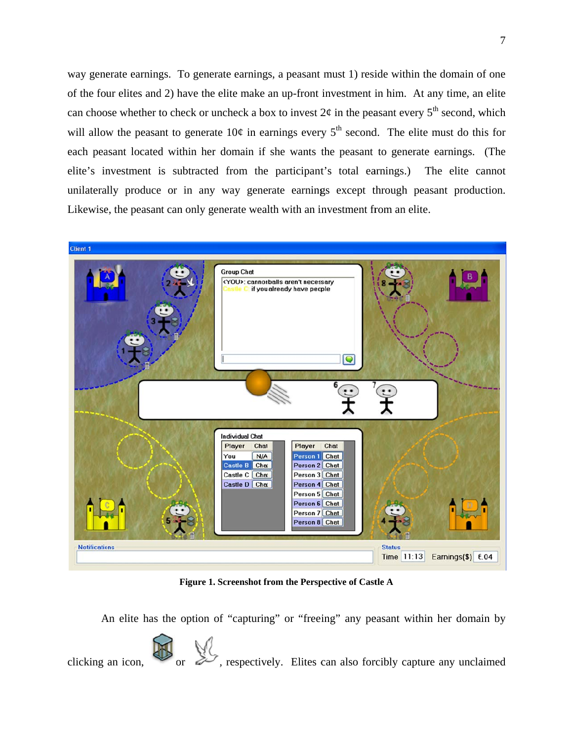way generate earnings. To generate earnings, a peasant must 1) reside within the domain of one of the four elites and 2) have the elite make an up-front investment in him. At any time, an elite can choose whether to check or uncheck a box to invest  $2\varphi$  in the peasant every  $5^{th}$  second, which will allow the peasant to generate  $10¢$  in earnings every  $5<sup>th</sup>$  second. The elite must do this for each peasant located within her domain if she wants the peasant to generate earnings. (The elite's investment is subtracted from the participant's total earnings.) The elite cannot unilaterally produce or in any way generate earnings except through peasant production. Likewise, the peasant can only generate wealth with an investment from an elite.



Figure 1. Screenshot from the Perspective of Castle A

An elite has the option of "capturing" or "freeing" any peasant within her domain by

clicking an icon,

or

, respectively. Elites can also forcibly capture any unclaimed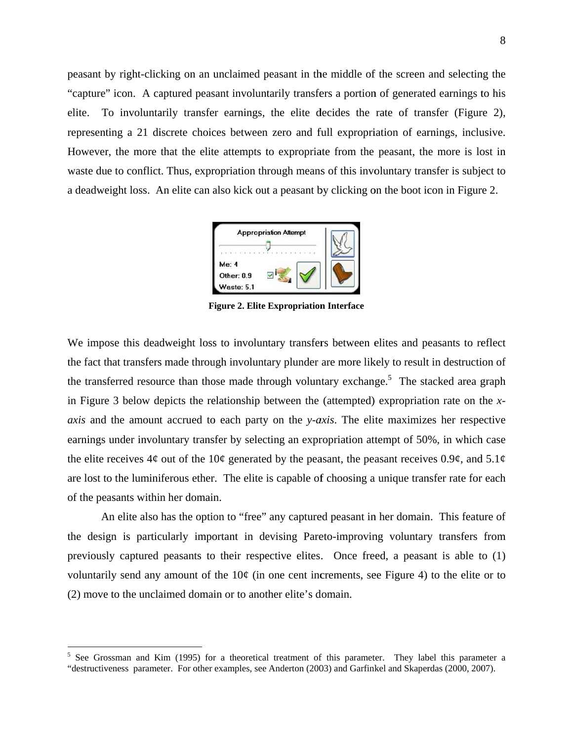peasant by right-clicking on an unclaimed peasant in the middle of the screen and selecting the "capture" icon. A captured peasant involuntarily transfers a portion of generated earnings to his elite. To involuntarily transfer earnings, the elite decides the rate of transfer (Figure 2), representing a 21 discrete choices between zero and full expropriation of earnings, inclusive. However, the more that the elite attempts to expropriate from the peasant, the more is lost in waste due to conflict. Thus, expropriation through means of this involuntary transfer is subject to a deadweight loss. An elite can also kick out a peasant by clicking on the boot icon in Figure 2.



**Figure 2. Elite Expropriation Interface** 

We impose this deadweight loss to involuntary transfers between elites and peasants to reflect the fact that transfers made through involuntary plunder are more likely to result in destruction of the transferred resource than those made through voluntary exchange.<sup>5</sup> The stacked area graph in Figure 3 below depicts the relationship between the (attempted) expropriation rate on the *x*axis and the amount accrued to each party on the *y-axis*. The elite maximizes her respective earnings under involuntary transfer by selecting an expropriation attempt of 50%, in which case the elite receives  $4\phi$  out of the  $10\phi$  generated by the peasant, the peasant receives  $0.9\phi$ , and  $5.1\phi$ are lost to the luminiferous ether. The elite is capable of choosing a unique transfer rate for each of the peasants within her domain.

An elite also has the option to "free" any captured peasant in her domain. This feature of the design is particularly important in devising Pareto-improving voluntary transfers from previously captured peasants to their respective elites. Once freed, a peasant is able to (1) voluntarily send any amount of the  $10¢$  (in one cent increments, see Figure 4) to the elite or to (2) move to the unclaimed domain or to another elite's domain.

 $\overline{a}$ 

 $\overline{a}$ 

 $\overline{a}$ 

<sup>&</sup>lt;sup>5</sup> See Grossman and Kim (1995) for a theoretical treatment of this parameter. They label this parameter a "destructiveness parameter. For other examples, see Anderton (2003) and Garfinkel and Skaperdas (2000, 2007).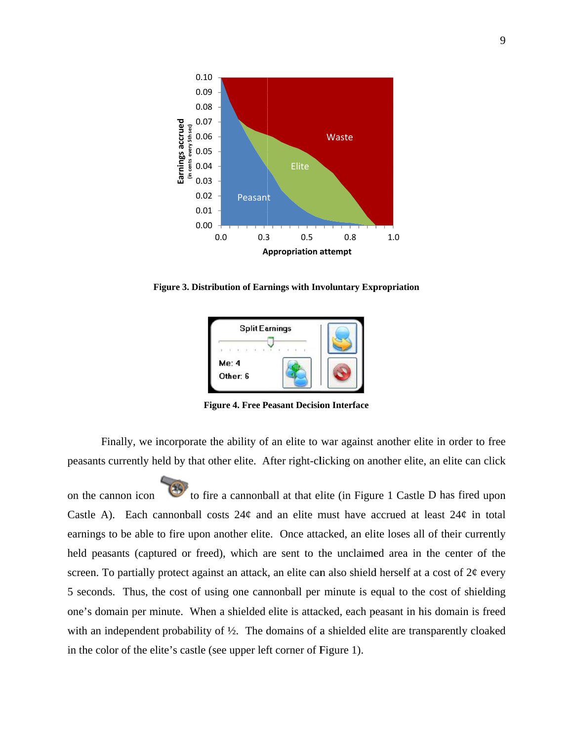

**Figure 3. Distribution of Earnings with Involuntary Expropriation** 



**Figure 4. Free Peasant Decision Interface** 

Finally, we incorporate the ability of an elite to war against another elite in order to free peasants currently held by that other elite. After right-clicking on another elite, an elite can click

on the ca annon icon Castle A). Each cannonball costs  $24¢$  and an elite must have accrued at least  $24¢$  in total earnings to be able to fire upon another elite. Once attacked, an elite loses all of their currently held peasants (captured or freed), which are sent to the unclaimed area in the center of the screen. To partially protect against an attack, an elite can also shield herself at a cost of  $2\phi$  every 5 seconds. Thus, the cost of using one cannonball per minute is equal to the cost of shielding one's domain per minute. When a shielded elite is attacked, each peasant in his domain is freed with an independent probability of  $\frac{1}{2}$ . The domains of a shielded elite are transparently cloaked in the color of the elite's castle (see upper left corner of Figure 1). to fire a cannonball at that elite (in Figure 1 Castle D has fired upon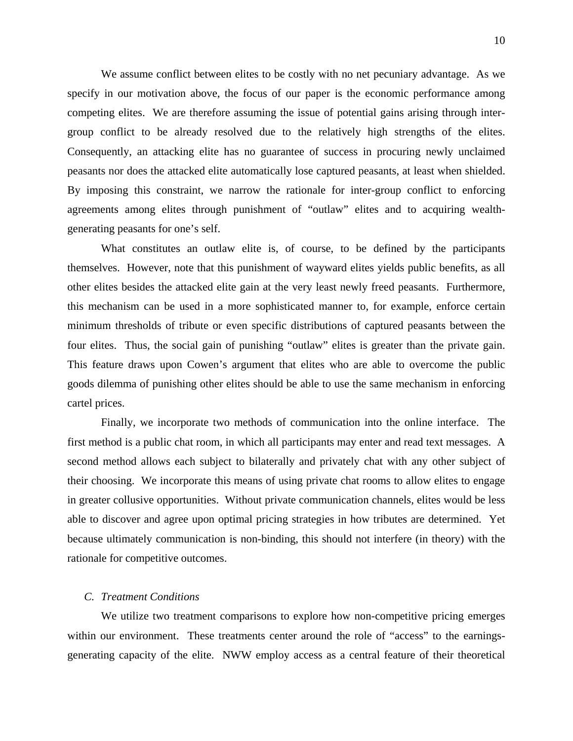We assume conflict between elites to be costly with no net pecuniary advantage. As we specify in our motivation above, the focus of our paper is the economic performance among competing elites. We are therefore assuming the issue of potential gains arising through intergroup conflict to be already resolved due to the relatively high strengths of the elites. Consequently, an attacking elite has no guarantee of success in procuring newly unclaimed peasants nor does the attacked elite automatically lose captured peasants, at least when shielded. By imposing this constraint, we narrow the rationale for inter-group conflict to enforcing agreements among elites through punishment of "outlaw" elites and to acquiring wealthgenerating peasants for one's self.

What constitutes an outlaw elite is, of course, to be defined by the participants themselves. However, note that this punishment of wayward elites yields public benefits, as all other elites besides the attacked elite gain at the very least newly freed peasants. Furthermore, this mechanism can be used in a more sophisticated manner to, for example, enforce certain minimum thresholds of tribute or even specific distributions of captured peasants between the four elites. Thus, the social gain of punishing "outlaw" elites is greater than the private gain. This feature draws upon Cowen's argument that elites who are able to overcome the public goods dilemma of punishing other elites should be able to use the same mechanism in enforcing cartel prices.

 Finally, we incorporate two methods of communication into the online interface. The first method is a public chat room, in which all participants may enter and read text messages. A second method allows each subject to bilaterally and privately chat with any other subject of their choosing. We incorporate this means of using private chat rooms to allow elites to engage in greater collusive opportunities. Without private communication channels, elites would be less able to discover and agree upon optimal pricing strategies in how tributes are determined. Yet because ultimately communication is non-binding, this should not interfere (in theory) with the rationale for competitive outcomes.

#### *C. Treatment Conditions*

We utilize two treatment comparisons to explore how non-competitive pricing emerges within our environment. These treatments center around the role of "access" to the earningsgenerating capacity of the elite. NWW employ access as a central feature of their theoretical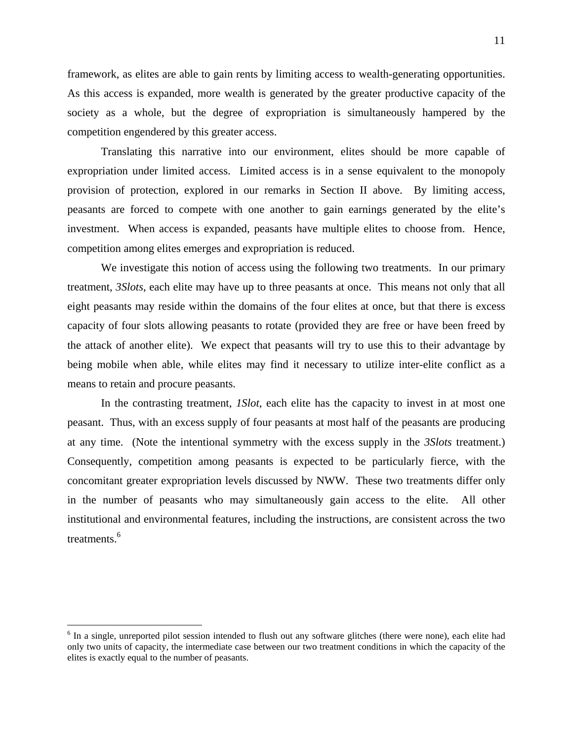framework, as elites are able to gain rents by limiting access to wealth-generating opportunities. As this access is expanded, more wealth is generated by the greater productive capacity of the society as a whole, but the degree of expropriation is simultaneously hampered by the competition engendered by this greater access.

Translating this narrative into our environment, elites should be more capable of expropriation under limited access. Limited access is in a sense equivalent to the monopoly provision of protection, explored in our remarks in Section II above. By limiting access, peasants are forced to compete with one another to gain earnings generated by the elite's investment. When access is expanded, peasants have multiple elites to choose from. Hence, competition among elites emerges and expropriation is reduced.

We investigate this notion of access using the following two treatments. In our primary treatment, *3Slots*, each elite may have up to three peasants at once. This means not only that all eight peasants may reside within the domains of the four elites at once, but that there is excess capacity of four slots allowing peasants to rotate (provided they are free or have been freed by the attack of another elite). We expect that peasants will try to use this to their advantage by being mobile when able, while elites may find it necessary to utilize inter-elite conflict as a means to retain and procure peasants.

In the contrasting treatment, *1Slot*, each elite has the capacity to invest in at most one peasant. Thus, with an excess supply of four peasants at most half of the peasants are producing at any time. (Note the intentional symmetry with the excess supply in the *3Slots* treatment.) Consequently, competition among peasants is expected to be particularly fierce, with the concomitant greater expropriation levels discussed by NWW. These two treatments differ only in the number of peasants who may simultaneously gain access to the elite. All other institutional and environmental features, including the instructions, are consistent across the two treatments.<sup>6</sup>

 $\overline{a}$ 

 $6$  In a single, unreported pilot session intended to flush out any software glitches (there were none), each elite had only two units of capacity, the intermediate case between our two treatment conditions in which the capacity of the elites is exactly equal to the number of peasants.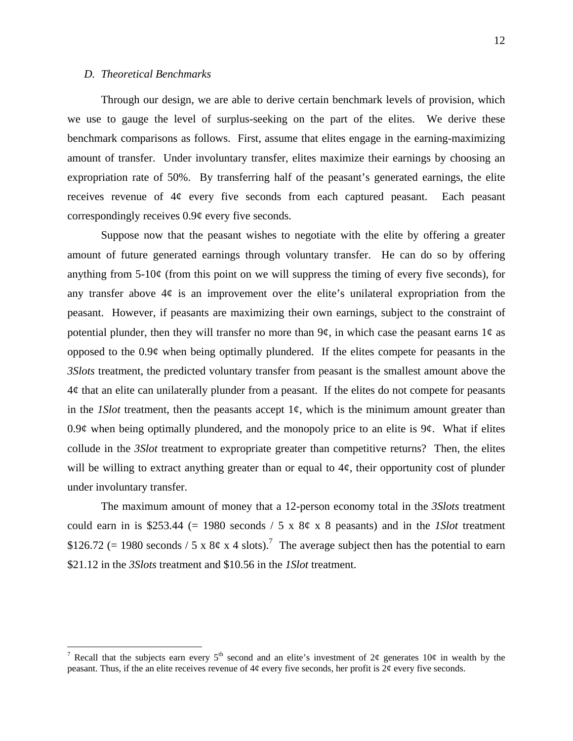#### *D. Theoretical Benchmarks*

1

Through our design, we are able to derive certain benchmark levels of provision, which we use to gauge the level of surplus-seeking on the part of the elites. We derive these benchmark comparisons as follows. First, assume that elites engage in the earning-maximizing amount of transfer. Under involuntary transfer, elites maximize their earnings by choosing an expropriation rate of 50%. By transferring half of the peasant's generated earnings, the elite receives revenue of  $4¢$  every five seconds from each captured peasant. Each peasant correspondingly receives  $0.9¢$  every five seconds.

 Suppose now that the peasant wishes to negotiate with the elite by offering a greater amount of future generated earnings through voluntary transfer. He can do so by offering anything from 5-10 $\ell$  (from this point on we will suppress the timing of every five seconds), for any transfer above  $4\phi$  is an improvement over the elite's unilateral expropriation from the peasant. However, if peasants are maximizing their own earnings, subject to the constraint of potential plunder, then they will transfer no more than  $9¢$ , in which case the peasant earns  $1¢$  as opposed to the  $0.9¢$  when being optimally plundered. If the elites compete for peasants in the *3Slots* treatment, the predicted voluntary transfer from peasant is the smallest amount above the  $4¢$  that an elite can unilaterally plunder from a peasant. If the elites do not compete for peasants in the *1Slot* treatment, then the peasants accept  $1¢$ , which is the minimum amount greater than 0.9 $\varphi$  when being optimally plundered, and the monopoly price to an elite is 9 $\varphi$ . What if elites collude in the *3Slot* treatment to expropriate greater than competitive returns? Then, the elites will be willing to extract anything greater than or equal to  $4\phi$ , their opportunity cost of plunder under involuntary transfer.

 The maximum amount of money that a 12-person economy total in the *3Slots* treatment could earn in is \$253.44 (= 1980 seconds / 5 x 8¢ x 8 peasants) and in the *1Slot* treatment \$126.72 (= 1980 seconds / 5 x 8¢ x 4 slots).<sup>7</sup> The average subject then has the potential to earn \$21.12 in the *3Slots* treatment and \$10.56 in the *1Slot* treatment.

<sup>&</sup>lt;sup>7</sup> Recall that the subjects earn every 5<sup>th</sup> second and an elite's investment of 2¢ generates 10¢ in wealth by the peasant. Thus, if the an elite receives revenue of  $4¢$  every five seconds, her profit is  $2¢$  every five seconds.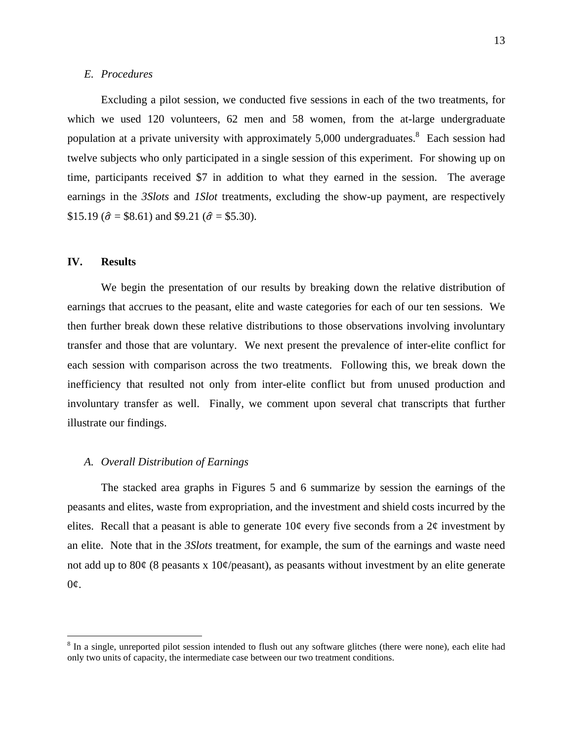#### *E. Procedures*

Excluding a pilot session, we conducted five sessions in each of the two treatments, for which we used 120 volunteers, 62 men and 58 women, from the at-large undergraduate population at a private university with approximately 5,000 undergraduates.<sup>8</sup> Each session had twelve subjects who only participated in a single session of this experiment. For showing up on time, participants received \$7 in addition to what they earned in the session. The average earnings in the *3Slots* and *1Slot* treatments, excluding the show-up payment, are respectively \$15.19 ( $\hat{\sigma}$  = \$8.61) and \$9.21 ( $\hat{\sigma}$  = \$5.30).

#### **IV. Results**

 $\overline{a}$ 

 We begin the presentation of our results by breaking down the relative distribution of earnings that accrues to the peasant, elite and waste categories for each of our ten sessions. We then further break down these relative distributions to those observations involving involuntary transfer and those that are voluntary. We next present the prevalence of inter-elite conflict for each session with comparison across the two treatments. Following this, we break down the inefficiency that resulted not only from inter-elite conflict but from unused production and involuntary transfer as well. Finally, we comment upon several chat transcripts that further illustrate our findings.

#### *A. Overall Distribution of Earnings*

The stacked area graphs in Figures 5 and 6 summarize by session the earnings of the peasants and elites, waste from expropriation, and the investment and shield costs incurred by the elites. Recall that a peasant is able to generate  $10¢$  every five seconds from a  $2¢$  investment by an elite. Note that in the *3Slots* treatment, for example, the sum of the earnings and waste need not add up to  $80¢$  (8 peasants x 10¢/peasant), as peasants without investment by an elite generate  $0¢$ .

 $8$  In a single, unreported pilot session intended to flush out any software glitches (there were none), each elite had only two units of capacity, the intermediate case between our two treatment conditions.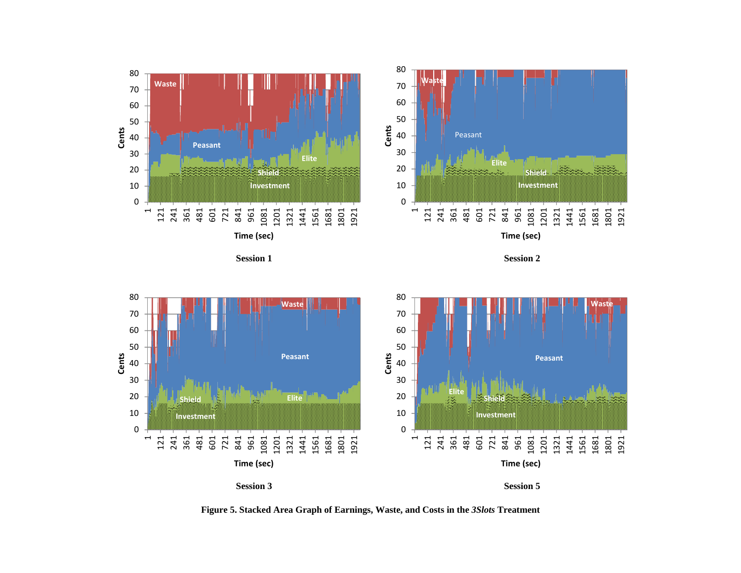



**Session 1** Session 2



**Figure 5. Stacked Area Graph of Earnings, Waste, and Costs in the** *3Slots* **Treatment**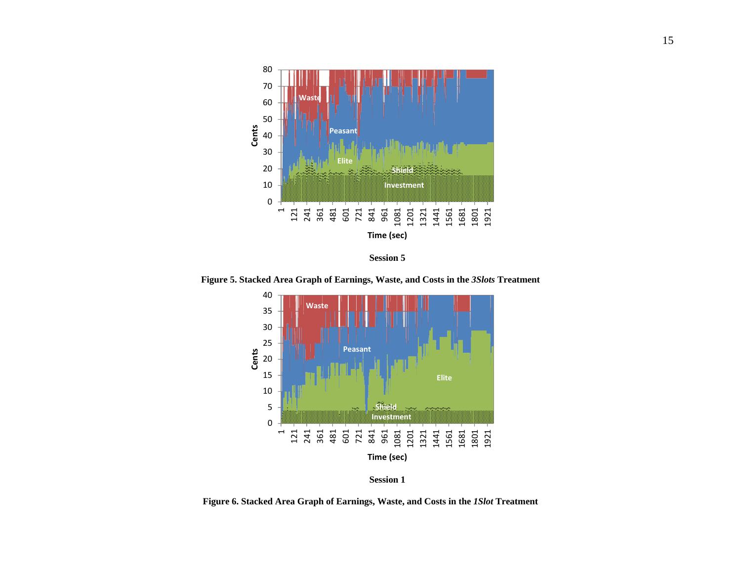



**Figure 5. Stacked Area Graph of Earnings, Waste, and Costs in the** *3Slots* **Treatment** 



**Session 1** 

**Figure 6. Stacked Area Graph of Earnings, Waste, and Costs in the** *1Slot* **Treatment**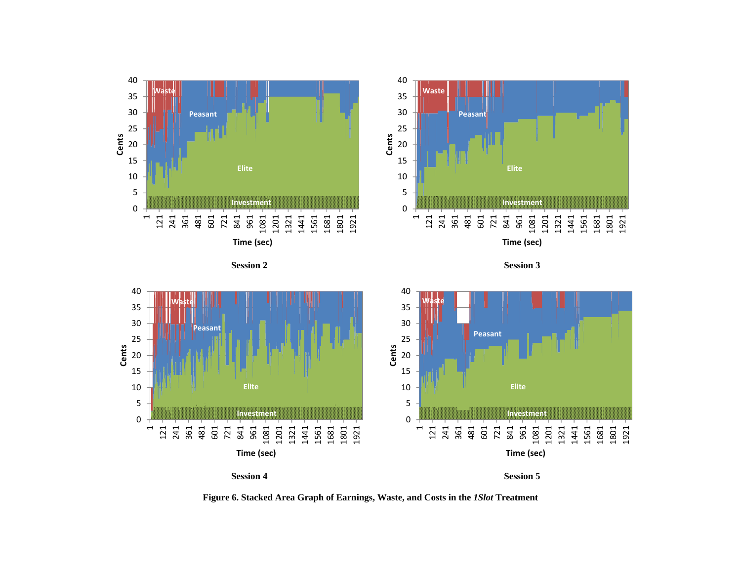









**Figure 6. Stacked Area Graph of Earnings, Waste, and Costs in the** *1Slot* **Treatment**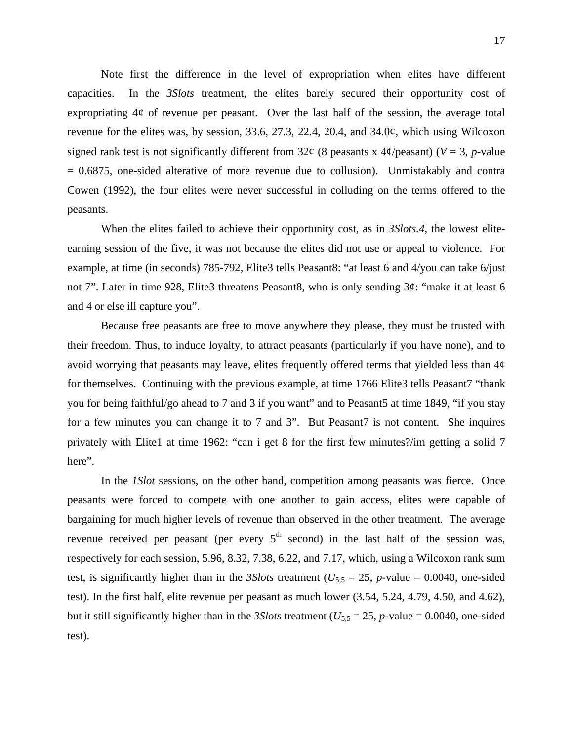Note first the difference in the level of expropriation when elites have different capacities. In the *3Slots* treatment, the elites barely secured their opportunity cost of expropriating  $4¢$  of revenue per peasant. Over the last half of the session, the average total revenue for the elites was, by session, 33.6, 27.3, 22.4, 20.4, and 34.0¢, which using Wilcoxon signed rank test is not significantly different from 32 $\varphi$  (8 peasants x 4 $\varphi$ /peasant) (*V* = 3, *p*-value = 0.6875, one-sided alterative of more revenue due to collusion). Unmistakably and contra Cowen (1992), the four elites were never successful in colluding on the terms offered to the peasants.

When the elites failed to achieve their opportunity cost, as in *3Slots.4*, the lowest eliteearning session of the five, it was not because the elites did not use or appeal to violence. For example, at time (in seconds) 785-792, Elite3 tells Peasant8: "at least 6 and 4/you can take 6/just not 7". Later in time 928, Elite3 threatens Peasant8, who is only sending 3¢: "make it at least 6 and 4 or else ill capture you".

Because free peasants are free to move anywhere they please, they must be trusted with their freedom. Thus, to induce loyalty, to attract peasants (particularly if you have none), and to avoid worrying that peasants may leave, elites frequently offered terms that yielded less than  $4\phi$ for themselves. Continuing with the previous example, at time 1766 Elite3 tells Peasant7 "thank you for being faithful/go ahead to 7 and 3 if you want" and to Peasant5 at time 1849, "if you stay for a few minutes you can change it to 7 and 3". But Peasant7 is not content. She inquires privately with Elite1 at time 1962: "can i get 8 for the first few minutes?/im getting a solid 7 here".

In the *1Slot* sessions, on the other hand, competition among peasants was fierce. Once peasants were forced to compete with one another to gain access, elites were capable of bargaining for much higher levels of revenue than observed in the other treatment. The average revenue received per peasant (per every  $5<sup>th</sup>$  second) in the last half of the session was, respectively for each session, 5.96, 8.32, 7.38, 6.22, and 7.17, which, using a Wilcoxon rank sum test, is significantly higher than in the *3Slots* treatment ( $U_{5,5} = 25$ , *p*-value = 0.0040, one-sided test). In the first half, elite revenue per peasant as much lower (3.54, 5.24, 4.79, 4.50, and 4.62), but it still significantly higher than in the *3Slots* treatment ( $U_{5,5} = 25$ , *p*-value = 0.0040, one-sided test).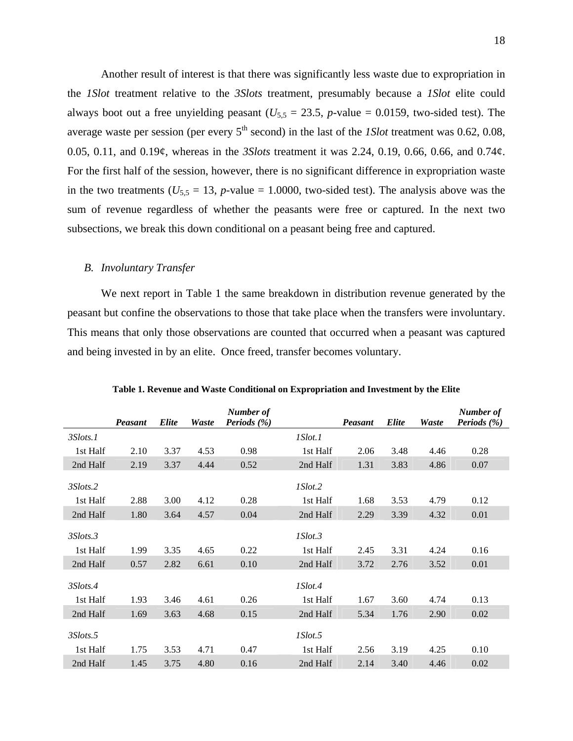Another result of interest is that there was significantly less waste due to expropriation in the *1Slot* treatment relative to the *3Slots* treatment, presumably because a *1Slot* elite could always boot out a free unyielding peasant ( $U_{5,5} = 23.5$ , *p*-value = 0.0159, two-sided test). The average waste per session (per every 5<sup>th</sup> second) in the last of the *1Slot* treatment was 0.62, 0.08, 0.05, 0.11, and 0.19¢, whereas in the *3Slots* treatment it was 2.24, 0.19, 0.66, 0.66, and 0.74¢. For the first half of the session, however, there is no significant difference in expropriation waste in the two treatments ( $U_{5,5} = 13$ , *p*-value = 1.0000, two-sided test). The analysis above was the sum of revenue regardless of whether the peasants were free or captured. In the next two subsections, we break this down conditional on a peasant being free and captured.

#### *B. Involuntary Transfer*

We next report in Table 1 the same breakdown in distribution revenue generated by the peasant but confine the observations to those that take place when the transfers were involuntary. This means that only those observations are counted that occurred when a peasant was captured and being invested in by an elite. Once freed, transfer becomes voluntary.

|          |                |              |       | Number of       |                |                |       |              | Number of   |
|----------|----------------|--------------|-------|-----------------|----------------|----------------|-------|--------------|-------------|
|          | <b>Peasant</b> | <b>Elite</b> | Waste | Periods $(\% )$ |                | <b>Peasant</b> | Elite | <b>Waste</b> | Periods (%) |
| 3Slots.1 |                |              |       |                 | <i>ISlot.1</i> |                |       |              |             |
| 1st Half | 2.10           | 3.37         | 4.53  | 0.98            | 1st Half       | 2.06           | 3.48  | 4.46         | 0.28        |
| 2nd Half | 2.19           | 3.37         | 4.44  | 0.52            | 2nd Half       | 1.31           | 3.83  | 4.86         | 0.07        |
| 3Slots.2 |                |              |       |                 | 1Slot.2        |                |       |              |             |
| 1st Half | 2.88           | 3.00         | 4.12  | 0.28            | 1st Half       | 1.68           | 3.53  | 4.79         | 0.12        |
| 2nd Half | 1.80           | 3.64         | 4.57  | 0.04            | 2nd Half       | 2.29           | 3.39  | 4.32         | 0.01        |
| 3Slots.3 |                |              |       |                 | ISlot.3        |                |       |              |             |
| 1st Half | 1.99           | 3.35         | 4.65  | 0.22            | 1st Half       | 2.45           | 3.31  | 4.24         | 0.16        |
| 2nd Half | 0.57           | 2.82         | 6.61  | 0.10            | 2nd Half       | 3.72           | 2.76  | 3.52         | 0.01        |
| 3Slots.4 |                |              |       |                 | ISlot.4        |                |       |              |             |
| 1st Half | 1.93           | 3.46         | 4.61  | 0.26            | 1st Half       | 1.67           | 3.60  | 4.74         | 0.13        |
| 2nd Half | 1.69           | 3.63         | 4.68  | 0.15            | 2nd Half       | 5.34           | 1.76  | 2.90         | 0.02        |
| 3Slots.5 |                |              |       |                 | 1Slot.5        |                |       |              |             |
| 1st Half | 1.75           | 3.53         | 4.71  | 0.47            | 1st Half       | 2.56           | 3.19  | 4.25         | 0.10        |
| 2nd Half | 1.45           | 3.75         | 4.80  | 0.16            | 2nd Half       | 2.14           | 3.40  | 4.46         | 0.02        |

**Table 1. Revenue and Waste Conditional on Expropriation and Investment by the Elite**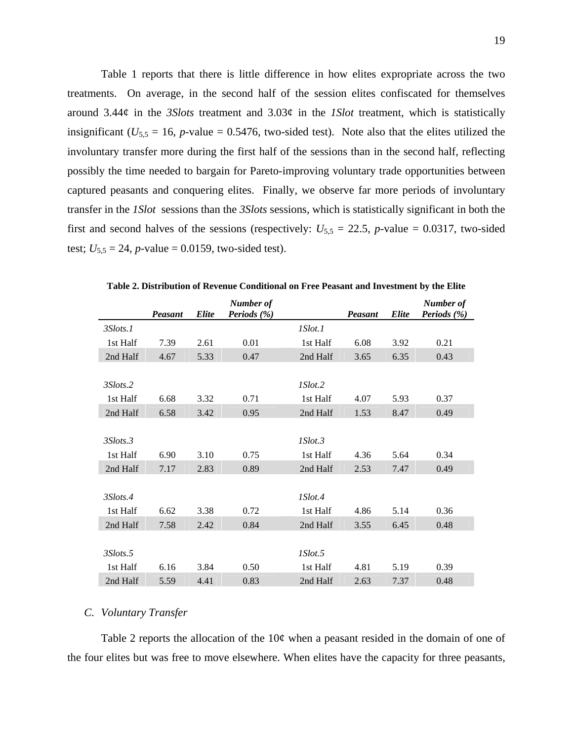Table 1 reports that there is little difference in how elites expropriate across the two treatments. On average, in the second half of the session elites confiscated for themselves around 3.44¢ in the *3Slots* treatment and 3.03¢ in the *1Slot* treatment, which is statistically insignificant ( $U_{5,5} = 16$ , *p*-value = 0.5476, two-sided test). Note also that the elites utilized the involuntary transfer more during the first half of the sessions than in the second half, reflecting possibly the time needed to bargain for Pareto-improving voluntary trade opportunities between captured peasants and conquering elites. Finally, we observe far more periods of involuntary transfer in the *1Slot* sessions than the *3Slots* sessions, which is statistically significant in both the first and second halves of the sessions (respectively:  $U_{5,5} = 22.5$ , *p*-value = 0.0317, two-sided test;  $U_{5,5} = 24$ , *p*-value = 0.0159, two-sided test).

|          | Peasant | Elite | Number of<br>Periods (%) |          | Peasant | Elite | Number of<br>Periods (%) |
|----------|---------|-------|--------------------------|----------|---------|-------|--------------------------|
| 3Slots.1 |         |       |                          | 1Slot.1  |         |       |                          |
| 1st Half | 7.39    | 2.61  | 0.01                     | 1st Half | 6.08    | 3.92  | 0.21                     |
| 2nd Half | 4.67    | 5.33  | 0.47                     | 2nd Half | 3.65    | 6.35  | 0.43                     |
|          |         |       |                          |          |         |       |                          |
| 3Slots.2 |         |       |                          | 1Slot.2  |         |       |                          |
| 1st Half | 6.68    | 3.32  | 0.71                     | 1st Half | 4.07    | 5.93  | 0.37                     |
| 2nd Half | 6.58    | 3.42  | 0.95                     | 2nd Half | 1.53    | 8.47  | 0.49                     |
|          |         |       |                          |          |         |       |                          |
| 3Slots.3 |         |       |                          | 1Slot.3  |         |       |                          |
| 1st Half | 6.90    | 3.10  | 0.75                     | 1st Half | 4.36    | 5.64  | 0.34                     |
| 2nd Half | 7.17    | 2.83  | 0.89                     | 2nd Half | 2.53    | 7.47  | 0.49                     |
|          |         |       |                          |          |         |       |                          |
| 3Slots.4 |         |       |                          | 1Slot.4  |         |       |                          |
| 1st Half | 6.62    | 3.38  | 0.72                     | 1st Half | 4.86    | 5.14  | 0.36                     |
| 2nd Half | 7.58    | 2.42  | 0.84                     | 2nd Half | 3.55    | 6.45  | 0.48                     |
|          |         |       |                          |          |         |       |                          |
| 3Slots.5 |         |       |                          | ISlot.5  |         |       |                          |
| 1st Half | 6.16    | 3.84  | 0.50                     | 1st Half | 4.81    | 5.19  | 0.39                     |
| 2nd Half | 5.59    | 4.41  | 0.83                     | 2nd Half | 2.63    | 7.37  | 0.48                     |

**Table 2. Distribution of Revenue Conditional on Free Peasant and Investment by the Elite** 

#### *C. Voluntary Transfer*

Table 2 reports the allocation of the  $10¢$  when a peasant resided in the domain of one of the four elites but was free to move elsewhere. When elites have the capacity for three peasants,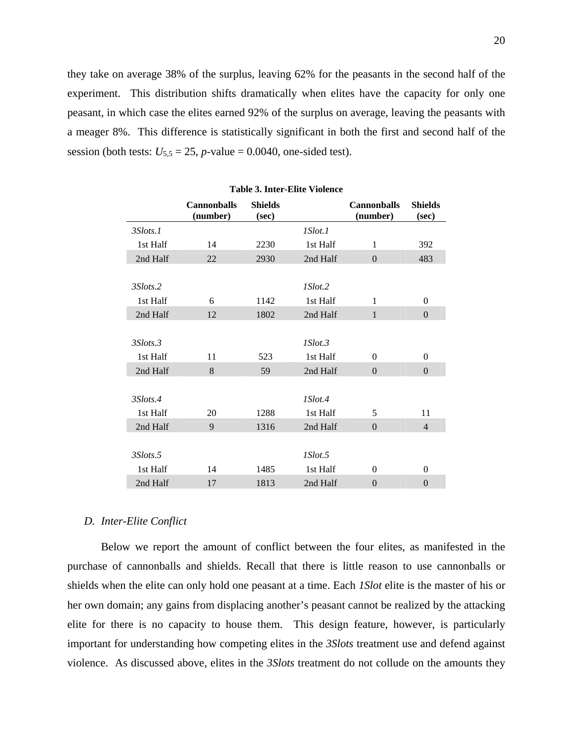they take on average 38% of the surplus, leaving 62% for the peasants in the second half of the experiment. This distribution shifts dramatically when elites have the capacity for only one peasant, in which case the elites earned 92% of the surplus on average, leaving the peasants with a meager 8%. This difference is statistically significant in both the first and second half of the session (both tests:  $U_{5,5} = 25$ , *p*-value = 0.0040, one-sided test).

|          | <b>Cannonballs</b><br>(number) | <b>Shields</b><br>(sec) |          | <b>Cannonballs</b><br>(number) | <b>Shields</b><br>(sec) |
|----------|--------------------------------|-------------------------|----------|--------------------------------|-------------------------|
| 3Slots.1 |                                |                         | ISlot.1  |                                |                         |
| 1st Half | 14                             | 2230                    | 1st Half | 1                              | 392                     |
| 2nd Half | 22                             | 2930                    | 2nd Half | $\theta$                       | 483                     |
|          |                                |                         |          |                                |                         |
| 3Slots.2 |                                |                         | ISlot.2  |                                |                         |
| 1st Half | 6                              | 1142                    | 1st Half | 1                              | $\overline{0}$          |
| 2nd Half | 12                             | 1802                    | 2nd Half | $\mathbf{1}$                   | $\overline{0}$          |
|          |                                |                         |          |                                |                         |
| 3Slots.3 |                                |                         | ISlot.3  |                                |                         |
| 1st Half | 11                             | 523                     | 1st Half | $\mathbf{0}$                   | $\theta$                |
| 2nd Half | 8                              | 59                      | 2nd Half | $\theta$                       | $\overline{0}$          |
|          |                                |                         |          |                                |                         |
| 3Slots.4 |                                |                         | ISlot.4  |                                |                         |
| 1st Half | 20                             | 1288                    | 1st Half | 5                              | 11                      |
| 2nd Half | 9                              | 1316                    | 2nd Half | $\theta$                       | $\overline{4}$          |
|          |                                |                         |          |                                |                         |
| 3Slots.5 |                                |                         | 1Slot.5  |                                |                         |
| 1st Half | 14                             | 1485                    | 1st Half | $\theta$                       | $\overline{0}$          |
| 2nd Half | 17                             | 1813                    | 2nd Half | $\overline{0}$                 | $\overline{0}$          |

# **Table 3. Inter-Elite Violence**

#### *D. Inter-Elite Conflict*

 Below we report the amount of conflict between the four elites, as manifested in the purchase of cannonballs and shields. Recall that there is little reason to use cannonballs or shields when the elite can only hold one peasant at a time. Each *1Slot* elite is the master of his or her own domain; any gains from displacing another's peasant cannot be realized by the attacking elite for there is no capacity to house them. This design feature, however, is particularly important for understanding how competing elites in the *3Slots* treatment use and defend against violence. As discussed above, elites in the *3Slots* treatment do not collude on the amounts they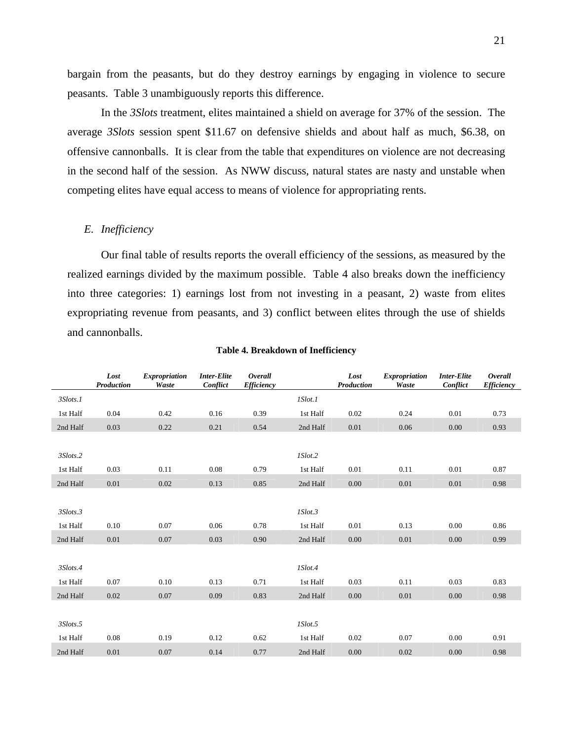bargain from the peasants, but do they destroy earnings by engaging in violence to secure peasants. Table 3 unambiguously reports this difference.

In the *3Slots* treatment, elites maintained a shield on average for 37% of the session. The average *3Slots* session spent \$11.67 on defensive shields and about half as much, \$6.38, on offensive cannonballs. It is clear from the table that expenditures on violence are not decreasing in the second half of the session. As NWW discuss, natural states are nasty and unstable when competing elites have equal access to means of violence for appropriating rents.

#### *E. Inefficiency*

Our final table of results reports the overall efficiency of the sessions, as measured by the realized earnings divided by the maximum possible. Table 4 also breaks down the inefficiency into three categories: 1) earnings lost from not investing in a peasant, 2) waste from elites expropriating revenue from peasants, and 3) conflict between elites through the use of shields and cannonballs.

|          | Lost<br>Production | <b>Expropriation</b><br>Waste | <b>Inter-Elite</b><br>Conflict | <b>Overall</b><br><b>Efficiency</b> |          | Lost<br>Production | <b>Expropriation</b><br>Waste | <b>Inter-Elite</b><br>Conflict | <b>Overall</b><br><b>Efficiency</b> |
|----------|--------------------|-------------------------------|--------------------------------|-------------------------------------|----------|--------------------|-------------------------------|--------------------------------|-------------------------------------|
| 3Slots.1 |                    |                               |                                |                                     | 1Slot.1  |                    |                               |                                |                                     |
| 1st Half | 0.04               | 0.42                          | 0.16                           | 0.39                                | 1st Half | 0.02               | 0.24                          | 0.01                           | 0.73                                |
| 2nd Half | 0.03               | 0.22                          | 0.21                           | 0.54                                | 2nd Half | 0.01               | 0.06                          | 0.00                           | 0.93                                |
|          |                    |                               |                                |                                     |          |                    |                               |                                |                                     |
| 3Slots.2 |                    |                               |                                |                                     | ISlot.2  |                    |                               |                                |                                     |
| 1st Half | 0.03               | 0.11                          | 0.08                           | 0.79                                | 1st Half | 0.01               | 0.11                          | 0.01                           | 0.87                                |
| 2nd Half | 0.01               | 0.02                          | 0.13                           | 0.85                                | 2nd Half | 0.00               | 0.01                          | 0.01                           | 0.98                                |
|          |                    |                               |                                |                                     |          |                    |                               |                                |                                     |
| 3Slots.3 |                    |                               |                                |                                     | ISlot.3  |                    |                               |                                |                                     |
| 1st Half | 0.10               | 0.07                          | 0.06                           | 0.78                                | 1st Half | 0.01               | 0.13                          | 0.00                           | 0.86                                |
| 2nd Half | 0.01               | 0.07                          | 0.03                           | 0.90                                | 2nd Half | 0.00               | 0.01                          | 0.00                           | 0.99                                |
|          |                    |                               |                                |                                     |          |                    |                               |                                |                                     |
| 3Slots.4 |                    |                               |                                |                                     | 1Slot.4  |                    |                               |                                |                                     |
| 1st Half | 0.07               | 0.10                          | 0.13                           | 0.71                                | 1st Half | 0.03               | 0.11                          | 0.03                           | 0.83                                |
| 2nd Half | 0.02               | 0.07                          | 0.09                           | 0.83                                | 2nd Half | 0.00               | 0.01                          | 0.00                           | 0.98                                |
|          |                    |                               |                                |                                     |          |                    |                               |                                |                                     |
| 3Slots.5 |                    |                               |                                |                                     | ISlot.5  |                    |                               |                                |                                     |
| 1st Half | 0.08               | 0.19                          | 0.12                           | 0.62                                | 1st Half | 0.02               | 0.07                          | 0.00                           | 0.91                                |
| 2nd Half | 0.01               | 0.07                          | 0.14                           | 0.77                                | 2nd Half | 0.00               | 0.02                          | 0.00                           | 0.98                                |

#### **Table 4. Breakdown of Inefficiency**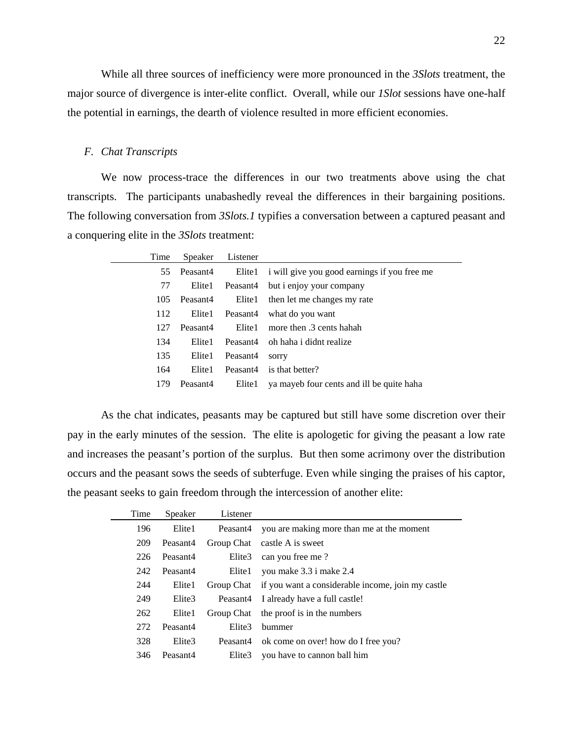While all three sources of inefficiency were more pronounced in the *3Slots* treatment, the major source of divergence is inter-elite conflict. Overall, while our *1Slot* sessions have one-half the potential in earnings, the dearth of violence resulted in more efficient economies.

#### *F. Chat Transcripts*

We now process-trace the differences in our two treatments above using the chat transcripts. The participants unabashedly reveal the differences in their bargaining positions. The following conversation from *3Slots.1* typifies a conversation between a captured peasant and a conquering elite in the *3Slots* treatment:

| Time | Speaker            | Listener           |                                                     |
|------|--------------------|--------------------|-----------------------------------------------------|
| 55   | Peasant4           |                    | Elite1 i will give you good earnings if you free me |
| 77   | Elite1             | Peasant4           | but i enjoy your company                            |
| 105  | Peasant4           |                    | Elite1 then let me changes my rate                  |
| 112  | Elite1             | Peasant4           | what do you want                                    |
| 127  | Peasant4           | Elite <sub>1</sub> | more then .3 cents hahah                            |
| 134  | Elite <sub>1</sub> |                    | Peasant4 oh haha i didnt realize                    |
| 135  | Elite1             | Peasant4           | sorry                                               |
| 164  | Elite <sub>1</sub> | Peasant4           | is that better?                                     |
| 179  | Peasant4           | Elite1             | ya mayeb four cents and ill be quite haha           |

As the chat indicates, peasants may be captured but still have some discretion over their pay in the early minutes of the session. The elite is apologetic for giving the peasant a low rate and increases the peasant's portion of the surplus. But then some acrimony over the distribution occurs and the peasant sows the seeds of subterfuge. Even while singing the praises of his captor, the peasant seeks to gain freedom through the intercession of another elite:

| Speaker                                 | Listener           |                                                              |
|-----------------------------------------|--------------------|--------------------------------------------------------------|
| Elite <sub>1</sub>                      | Peasant4           | you are making more than me at the moment                    |
| Peasant4                                |                    | Group Chat castle A is sweet                                 |
| Peasant4                                | Elite <sub>3</sub> | can you free me?                                             |
| Peasant4                                | Elite 1            | you make 3.3 i make 2.4                                      |
| Elite <sub>1</sub>                      |                    | Group Chat if you want a considerable income, join my castle |
| Elite <sub>3</sub>                      |                    | Peasant 4 I already have a full castle!                      |
| Elite1                                  |                    | Group Chat the proof is in the numbers                       |
| Peasant4                                | Elite <sup>3</sup> | hummer                                                       |
| Elite <sup>3</sup>                      | Peasant4           | ok come on over! how do I free you?                          |
| Peasant4                                | Elite3             | you have to cannon ball him                                  |
| Time<br>226<br>242<br>244<br>272<br>328 | 196<br>249<br>262  |                                                              |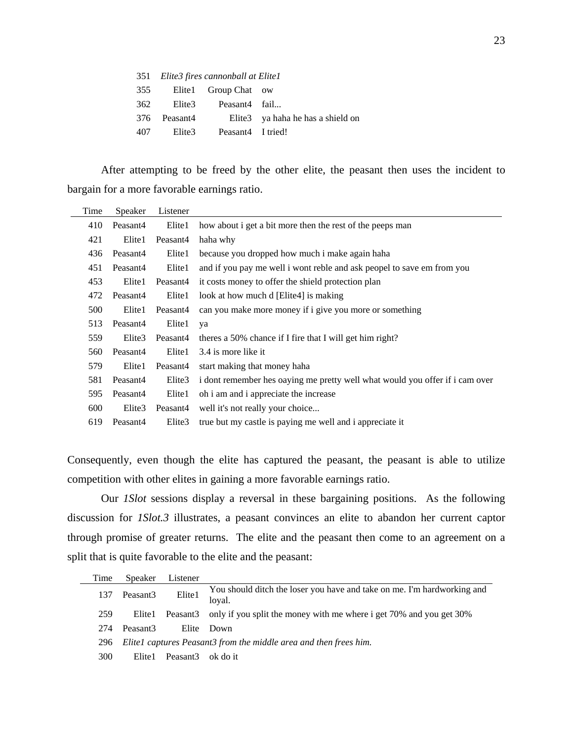|     | 351 Elite3 fires cannonball at Elite1 |                          |                                   |  |  |  |
|-----|---------------------------------------|--------------------------|-----------------------------------|--|--|--|
|     |                                       | 355 Elite1 Group Chat ow |                                   |  |  |  |
|     |                                       | 362 Elite3 Peasant4 fail |                                   |  |  |  |
|     | 376 Peasant4                          |                          | Elite3 ya haha he has a shield on |  |  |  |
| 407 | Elite3                                | Peasant4 I tried!        |                                   |  |  |  |

After attempting to be freed by the other elite, the peasant then uses the incident to bargain for a more favorable earnings ratio.

| Time | Speaker            | Listener           |                                                                                     |
|------|--------------------|--------------------|-------------------------------------------------------------------------------------|
| 410  | Peasant4           | Elite <sub>1</sub> | how about i get a bit more then the rest of the peeps man                           |
| 421  | Elite1             | Peasant4           | haha why                                                                            |
| 436  | Peasant4           | Elite <sub>1</sub> | because you dropped how much i make again haha                                      |
| 451  | Peasant4           | Elite <sub>1</sub> | and if you pay me well i wont reble and ask peopel to save em from you              |
| 453  | Elite <sub>1</sub> | Peasant4           | it costs money to offer the shield protection plan                                  |
| 472  | Peasant4           | Elite <sub>1</sub> | look at how much d [Elite4] is making                                               |
| 500  | Elite1             | Peasant4           | can you make more money if i give you more or something                             |
| 513  | Peasant4           | Elite1             | ya                                                                                  |
| 559  | Elite <sub>3</sub> | Peasant4           | there a 50% chance if I fire that I will get him right?                             |
| 560  | Peasant4           | Elite <sub>1</sub> | 3.4 is more like it                                                                 |
| 579  | Elite1             | Peasant4           | start making that money haha                                                        |
| 581  | Peasant4           |                    | Elite3 i dont remember hes oaying me pretty well what would you offer if i cam over |
| 595  | Peasant4           | Elite1             | oh i am and i appreciate the increase                                               |
| 600  | Elite <sub>3</sub> | Peasant4           | well it's not really your choice                                                    |
| 619  | Peasant4           | Elite <sub>3</sub> | true but my castle is paying me well and i appreciate it                            |

Consequently, even though the elite has captured the peasant, the peasant is able to utilize competition with other elites in gaining a more favorable earnings ratio.

 Our *1Slot* sessions display a reversal in these bargaining positions. As the following discussion for *1Slot.3* illustrates, a peasant convinces an elite to abandon her current captor through promise of greater returns. The elite and the peasant then come to an agreement on a split that is quite favorable to the elite and the peasant:

| Time | Speaker                                                           | Listener |                                                                                     |  |  |  |
|------|-------------------------------------------------------------------|----------|-------------------------------------------------------------------------------------|--|--|--|
| 137  | Peasant3                                                          | Elite1   | You should ditch the loser you have and take on me. I'm hardworking and<br>loval.   |  |  |  |
| 259  |                                                                   |          | Elite1 Peasant3 only if you split the money with me where i get 70% and you get 30% |  |  |  |
| 274  | Peasant3                                                          | Elite    | Down                                                                                |  |  |  |
| 296  | Elite1 captures Peasant3 from the middle area and then frees him. |          |                                                                                     |  |  |  |
| 300  | Elite 1                                                           | Peasant3 | ok do it                                                                            |  |  |  |
|      |                                                                   |          |                                                                                     |  |  |  |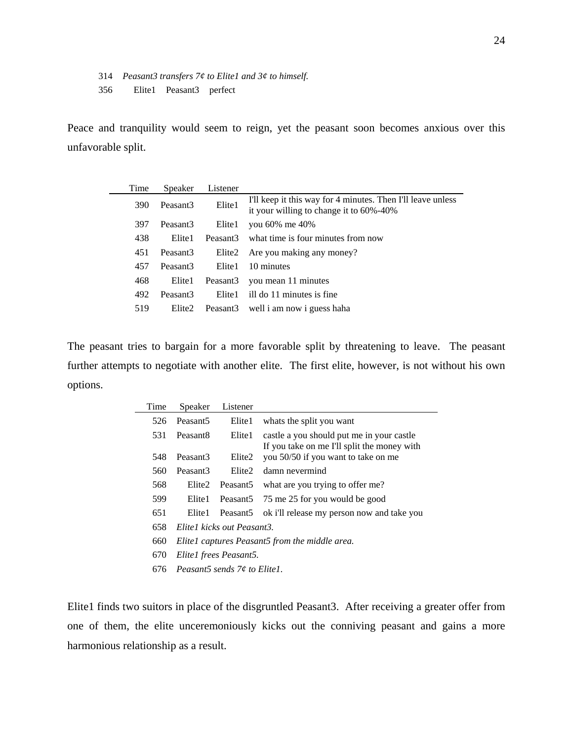356 Elite1 Peasant3 perfect

Peace and tranquility would seem to reign, yet the peasant soon becomes anxious over this unfavorable split.

| Time | Speaker            | Listener           |                                                                                                        |
|------|--------------------|--------------------|--------------------------------------------------------------------------------------------------------|
| 390  | Peasant3           | Elite1             | I'll keep it this way for 4 minutes. Then I'll leave unless<br>it your willing to change it to 60%-40% |
| 397  | Peasant3           | Elite <sub>1</sub> | you 60% me 40%                                                                                         |
| 438  | Elite <sub>1</sub> |                    | Peasant3 what time is four minutes from now                                                            |
| 451  | Peasant3           |                    | Elite2 Are you making any money?                                                                       |
| 457  | Peasant3           | Elite <sub>1</sub> | 10 minutes                                                                                             |
| 468  | Elite <sub>1</sub> |                    | Peasant3 you mean 11 minutes                                                                           |
| 492  | Peasant3           | Elite 1            | ill do 11 minutes is fine                                                                              |
| 519  | Elite <sub>2</sub> |                    | Peasant3 well i am now i guess haha                                                                    |

The peasant tries to bargain for a more favorable split by threatening to leave. The peasant further attempts to negotiate with another elite. The first elite, however, is not without his own options.

| Time | Speaker                                        | Listener             |                                             |  |  |  |
|------|------------------------------------------------|----------------------|---------------------------------------------|--|--|--|
| 526  | Peasant <sub>5</sub>                           | Elite1               | whats the split you want                    |  |  |  |
| 531  | Peasant <sub>8</sub>                           | Elite1               | castle a you should put me in your castle   |  |  |  |
|      |                                                |                      | If you take on me I'll split the money with |  |  |  |
| 548  | Peasant3                                       | Elite2               | you 50/50 if you want to take on me         |  |  |  |
| 560  | Peasant3                                       | Elite <sub>2</sub>   | damn nevermind                              |  |  |  |
| 568  | Elite <sub>2</sub>                             | Peasant <sub>5</sub> | what are you trying to offer me?            |  |  |  |
| 599  | Elite1                                         |                      | Peasant5 75 me 25 for you would be good     |  |  |  |
| 651  | Elite <sub>1</sub>                             | Peasant <sub>5</sub> | ok i'll release my person now and take you  |  |  |  |
| 658  | Elite1 kicks out Peasant3.                     |                      |                                             |  |  |  |
| 660  | Elite1 captures Peasant5 from the middle area. |                      |                                             |  |  |  |
| 670  | Elite1 frees Peasant5.                         |                      |                                             |  |  |  |
| 676  | Peasant5 sends $7¢$ to Elite1.                 |                      |                                             |  |  |  |

Elite1 finds two suitors in place of the disgruntled Peasant3. After receiving a greater offer from one of them, the elite unceremoniously kicks out the conniving peasant and gains a more harmonious relationship as a result.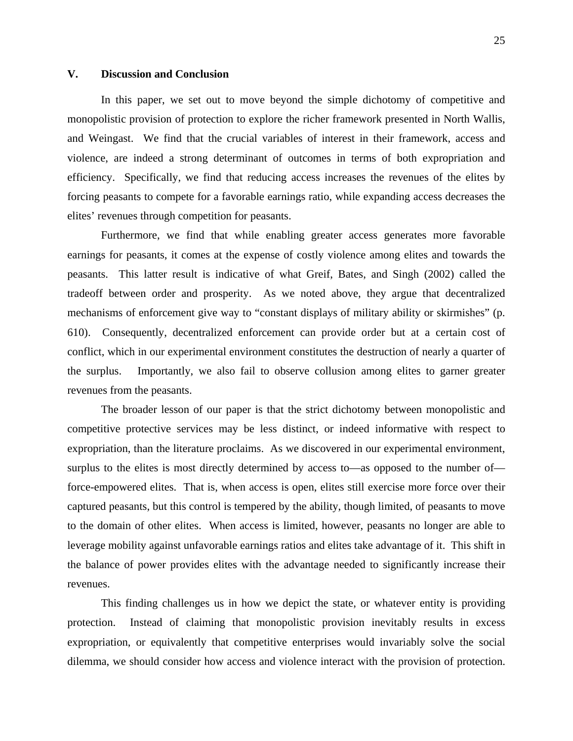# **V. Discussion and Conclusion**

 In this paper, we set out to move beyond the simple dichotomy of competitive and monopolistic provision of protection to explore the richer framework presented in North Wallis, and Weingast. We find that the crucial variables of interest in their framework, access and violence, are indeed a strong determinant of outcomes in terms of both expropriation and efficiency. Specifically, we find that reducing access increases the revenues of the elites by forcing peasants to compete for a favorable earnings ratio, while expanding access decreases the elites' revenues through competition for peasants.

 Furthermore, we find that while enabling greater access generates more favorable earnings for peasants, it comes at the expense of costly violence among elites and towards the peasants. This latter result is indicative of what Greif, Bates, and Singh (2002) called the tradeoff between order and prosperity. As we noted above, they argue that decentralized mechanisms of enforcement give way to "constant displays of military ability or skirmishes" (p. 610). Consequently, decentralized enforcement can provide order but at a certain cost of conflict, which in our experimental environment constitutes the destruction of nearly a quarter of the surplus. Importantly, we also fail to observe collusion among elites to garner greater revenues from the peasants.

The broader lesson of our paper is that the strict dichotomy between monopolistic and competitive protective services may be less distinct, or indeed informative with respect to expropriation, than the literature proclaims. As we discovered in our experimental environment, surplus to the elites is most directly determined by access to—as opposed to the number of force-empowered elites. That is, when access is open, elites still exercise more force over their captured peasants, but this control is tempered by the ability, though limited, of peasants to move to the domain of other elites. When access is limited, however, peasants no longer are able to leverage mobility against unfavorable earnings ratios and elites take advantage of it. This shift in the balance of power provides elites with the advantage needed to significantly increase their revenues.

 This finding challenges us in how we depict the state, or whatever entity is providing protection. Instead of claiming that monopolistic provision inevitably results in excess expropriation, or equivalently that competitive enterprises would invariably solve the social dilemma, we should consider how access and violence interact with the provision of protection.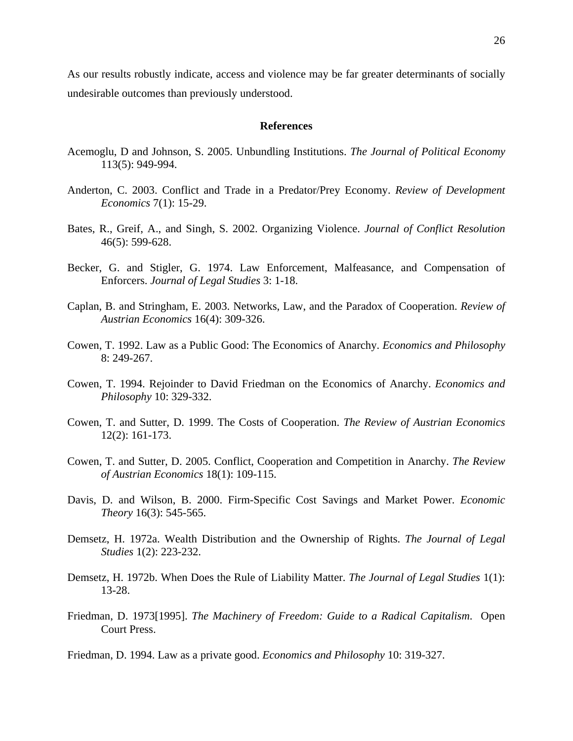As our results robustly indicate, access and violence may be far greater determinants of socially undesirable outcomes than previously understood.

#### **References**

- Acemoglu, D and Johnson, S. 2005. Unbundling Institutions. *The Journal of Political Economy* 113(5): 949-994.
- Anderton, C. 2003. Conflict and Trade in a Predator/Prey Economy. *Review of Development Economics* 7(1): 15-29.
- Bates, R., Greif, A., and Singh, S. 2002. Organizing Violence. *Journal of Conflict Resolution* 46(5): 599-628.
- Becker, G. and Stigler, G. 1974. Law Enforcement, Malfeasance, and Compensation of Enforcers. *Journal of Legal Studies* 3: 1-18.
- Caplan, B. and Stringham, E. 2003. Networks, Law, and the Paradox of Cooperation. *Review of Austrian Economics* 16(4): 309-326.
- Cowen, T. 1992. Law as a Public Good: The Economics of Anarchy. *Economics and Philosophy* 8: 249-267.
- Cowen, T. 1994. Rejoinder to David Friedman on the Economics of Anarchy. *Economics and Philosophy* 10: 329-332.
- Cowen, T. and Sutter, D. 1999. The Costs of Cooperation. *The Review of Austrian Economics*  12(2): 161-173.
- Cowen, T. and Sutter, D. 2005. Conflict, Cooperation and Competition in Anarchy. *The Review of Austrian Economics* 18(1): 109-115.
- Davis, D. and Wilson, B. 2000. Firm-Specific Cost Savings and Market Power. *Economic Theory* 16(3): 545-565.
- Demsetz, H. 1972a. Wealth Distribution and the Ownership of Rights. *The Journal of Legal Studies* 1(2): 223-232.
- Demsetz, H. 1972b. When Does the Rule of Liability Matter. *The Journal of Legal Studies* 1(1): 13-28.
- Friedman, D. 1973[1995]. *The Machinery of Freedom: Guide to a Radical Capitalism*. Open Court Press.

Friedman, D. 1994. Law as a private good. *Economics and Philosophy* 10: 319-327.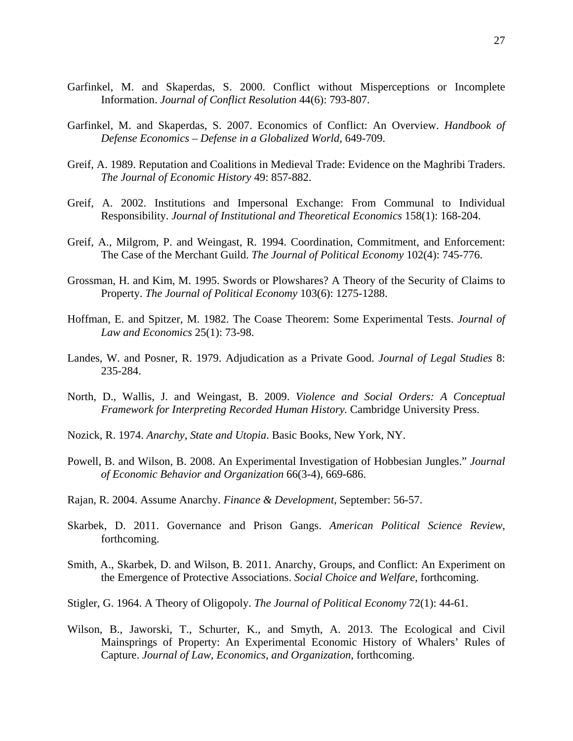- Garfinkel, M. and Skaperdas, S. 2000. Conflict without Misperceptions or Incomplete Information. *Journal of Conflict Resolution* 44(6): 793-807.
- Garfinkel, M. and Skaperdas, S. 2007. Economics of Conflict: An Overview. *Handbook of Defense Economics – Defense in a Globalized World*, 649-709.
- Greif, A. 1989. Reputation and Coalitions in Medieval Trade: Evidence on the Maghribi Traders. *The Journal of Economic History* 49: 857-882.
- Greif, A. 2002. Institutions and Impersonal Exchange: From Communal to Individual Responsibility. *Journal of Institutional and Theoretical Economics* 158(1): 168-204.
- Greif, A., Milgrom, P. and Weingast, R. 1994. Coordination, Commitment, and Enforcement: The Case of the Merchant Guild. *The Journal of Political Economy* 102(4): 745-776.
- Grossman, H. and Kim, M. 1995. Swords or Plowshares? A Theory of the Security of Claims to Property. *The Journal of Political Economy* 103(6): 1275-1288.
- Hoffman, E. and Spitzer, M. 1982. The Coase Theorem: Some Experimental Tests. *Journal of Law and Economics* 25(1): 73-98.
- Landes, W. and Posner, R. 1979. Adjudication as a Private Good. *Journal of Legal Studies* 8: 235-284.
- North, D., Wallis, J. and Weingast, B. 2009. *Violence and Social Orders: A Conceptual Framework for Interpreting Recorded Human History.* Cambridge University Press.
- Nozick, R. 1974. *Anarchy, State and Utopia*. Basic Books, New York, NY.
- Powell, B. and Wilson, B. 2008. An Experimental Investigation of Hobbesian Jungles." *Journal of Economic Behavior and Organization* 66(3-4), 669-686.
- Rajan, R. 2004. Assume Anarchy. *Finance & Development*, September: 56-57.
- Skarbek, D. 2011. Governance and Prison Gangs. *American Political Science Review*, forthcoming.
- Smith, A., Skarbek, D. and Wilson, B. 2011. Anarchy, Groups, and Conflict: An Experiment on the Emergence of Protective Associations. *Social Choice and Welfare*, forthcoming.
- Stigler, G. 1964. A Theory of Oligopoly. *The Journal of Political Economy* 72(1): 44-61.
- Wilson, B., Jaworski, T., Schurter, K., and Smyth, A. 2013. The Ecological and Civil Mainsprings of Property: An Experimental Economic History of Whalers' Rules of Capture. *Journal of Law, Economics, and Organization*, forthcoming.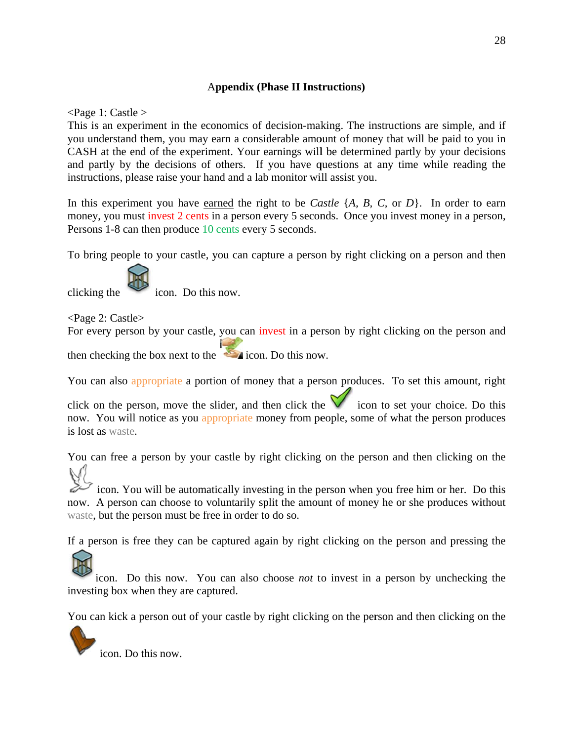# Appendix (Phase II Instructions)

<Page 1: Castle >

This is an experiment in the economics of decision-making. The instructions are simple, and if you understand them, you may earn a considerable amount of money that will be paid to you in CASH at the end of the experiment. Your earnings will be determined partly by your decisions and partly by the decisions of others. If you have questions at any time while reading the instructions, please raise your hand and a lab monitor will assist you.

In this experiment you have earned the right to be *Castle*  $\{A, B, C, \text{ or } D\}$ . In order to earn money, you must invest 2 cents in a person every 5 seconds. Once you invest money in a person, Persons 1-8 can then produce 10 cents every 5 seconds.

To bring people to your castle, you can capture a person by right clicking on a person and then

clicking the  $\bullet$  ic

con. Do this now.

<Page 2: Castle> For every person by your castle, you can *invest* in a person by right clicking on the person and

then checking the box next to the  $\bullet$  icon. Do this now.

You can also appropriate a portion of money that a person produces. To set this amount, right

click on the person, move the s lider, and th hen click the now. You will notice as you appropriate money from people, some of what the person produces is lost as waste.  $e \quad \text{ion to set your choice.}$  Do this

You can free a person by your castle by right clicking on the person and then clicking on the

icon. You will be automatically investing in the person when you free him or her. Do this now. A person can choose to voluntarily split the amount of money he or she produces without waste, but the person must be free in order to do so.

If a person is free they can be captured again by right clicking on the person and pressing the

icon. Do this now. You can also choose *not* to invest in a person by unchecking the investing box when they are captured.

You can kick a person out of your castle by right clicking on the person and then clicking on the

icon. Do this now.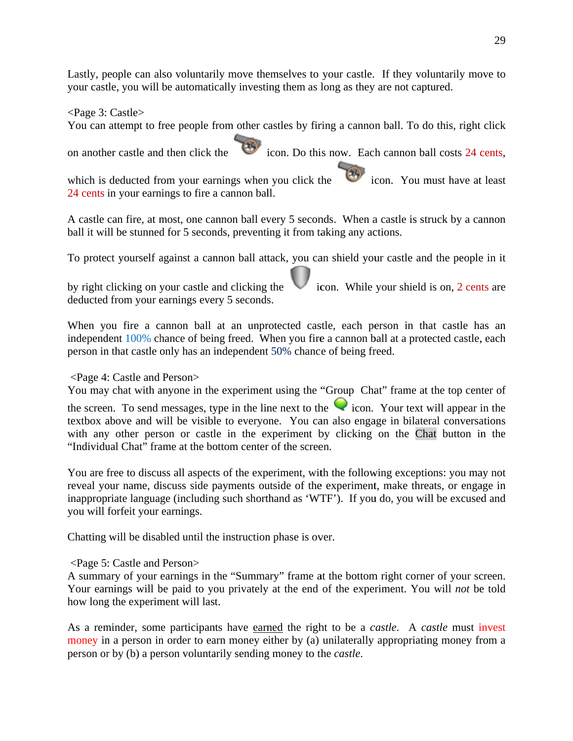Lastly, people can also voluntarily move themselves to your castle. If they voluntarily move to your castle, you will be automatically investing them as long as they are not captured.

<Page 3: Castle>

You can attempt to free people from other castles by firing a cannon ball. To do this, right click

on another castle and then click the  $\bullet$  i icon. Do this now. Each cannon ball costs 24 cents,

which is deducted from your earnings when you click the  $\bullet$  i 24 cents in your earnings to fire a cannon ball. con. You must have at least

A castle can fire, at most, one cannon ball every 5 seconds. When a castle is struck by a cannon ball it will be stunned for 5 seconds, preventing it from taking any actions.

To protect yourself against a cannon ball attack, you can shield your castle and the people in it

by right clicking on your castle and clicking the ic deducted from your earnings every 5 seconds. con. While your shield is on, 2 cents are

When you fire a cannon ball at an unprotected castle, each person in that castle has an independent 100% chance of being freed. When you fire a cannon ball at a protected castle, each person in that castle only has an independent 50% chance of being freed.

<Page 4 : Castle and Person>

You may chat with anyone in the experiment using the "Group Chat" frame at the top center of

the screen. To send messages, type in the line next to the icon. Your text will appear in the textbox above and will be visible to everyone. You can also engage in bilateral conversations with any other person or castle in the experiment by clicking on the Chat button in the "Individual Chat" frame at the bottom center of the screen.

You are free to discuss all aspects of the experiment, with the following exceptions: you may not reveal your name, discuss side payments outside of the experiment, make threats, or engage in inappropriate language (including such shorthand as 'WTF'). If you do, you will be excused and you will forfeit your earnings.

Chatting will be disabled until the instruction phase is over.

# <Page 5 : Castle and Person>

A summary of your earnings in the "Summary" frame at the bottom right corner of your screen. Your earnings will be paid to you privately at the end of the experiment. You will *not* be told how long the experiment will last.

As a reminder, some participants have earned the right to be a *castle*. A *castle* must invest money in a person in order to earn money either by (a) unilaterally appropriating money from a person or by (b) a person voluntarily sending money to the *castle*.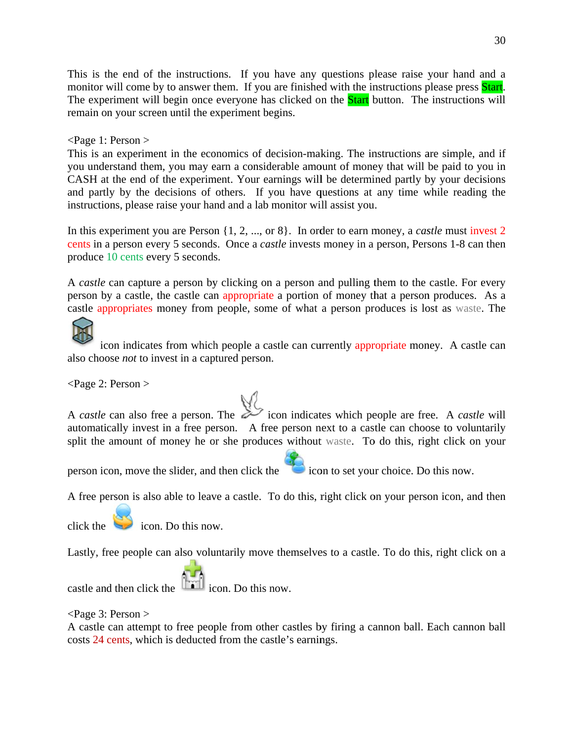This is the end of the instructions. If you have any questions please raise your hand and a monitor will come by to answer them. If you are finished with the instructions please press **Start**. The experiment will begin once everyone has clicked on the **Start** button. The instructions will remain on your screen until the experiment begins.

# <Page 1: Person >

This is an experiment in the economics of decision-making. The instructions are simple, and if you understand them, you may earn a considerable amount of money that will be paid to you in CASH at the end of the experiment. Your earnings will be determined partly by your decisions and partly by the decisions of others. If you have questions at any time while reading the instructions, please raise your hand and a lab monitor will assist you.

In this experiment you are Person  $\{1, 2, ...,$  or 8 $\}$ . In order to earn money, a *castle* must invest 2 cents in a person every 5 seconds. Once a *castle* invests money in a person, Persons 1-8 can then produce 10 cents every 5 seconds.

A *castle* can capture a person by clicking on a person and pulling them to the castle. For every person by a castle, the castle can appropriate a portion of money that a person produces. As a castle appropriates money from people, some of what a person produces is lost as waste. The



icon indicates from which people a castle can currently appropriate money. A castle can also choose *not* to invest in a captured person.

<Page 2: Person >

A *castle* can also free a person. The come indicates which people are free. A *castle* will automatically invest in a free person. A free person next to a castle can choose to voluntarily split the amount of money he or she produces without waste. To do this, right click on your

person icon, move the slider, and then click t the  $\Box$  icon to set your choice. Do this now.

A free person is also able to leave a castle. To do this, right click on your person icon, and then

click the  $\bullet$  icon. Do this now.

Lastly, free people can also voluntarily move themselves to a castle. To do this, right click on a

castle and then click the  $\Box$  icon. Do this now.

<Page 3: Person >

A castle can attempt to free people from other castles by firing a cannon ball. Each cannon ball costs 24 cents, which is deducted from the castle's earnings.